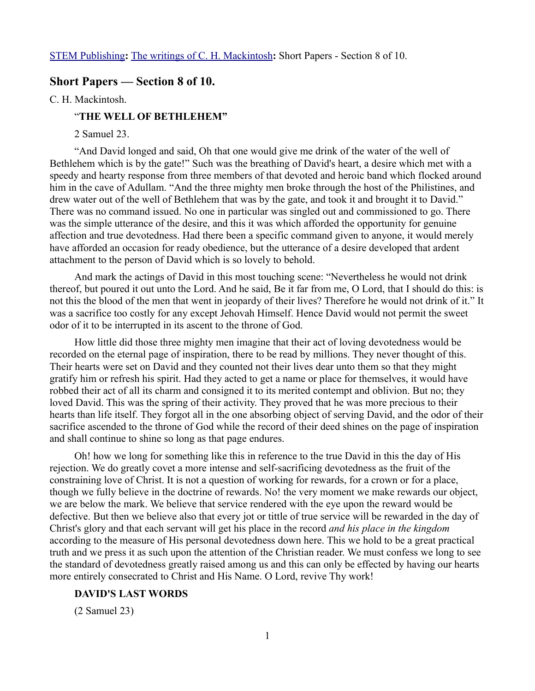## **Short Papers — Section 8 of 10.**

C. H. Mackintosh.

## "**THE WELL OF BETHLEHEM"**

2 Samuel 23.

"And David longed and said, Oh that one would give me drink of the water of the well of Bethlehem which is by the gate!" Such was the breathing of David's heart, a desire which met with a speedy and hearty response from three members of that devoted and heroic band which flocked around him in the cave of Adullam. "And the three mighty men broke through the host of the Philistines, and drew water out of the well of Bethlehem that was by the gate, and took it and brought it to David." There was no command issued. No one in particular was singled out and commissioned to go. There was the simple utterance of the desire, and this it was which afforded the opportunity for genuine affection and true devotedness. Had there been a specific command given to anyone, it would merely have afforded an occasion for ready obedience, but the utterance of a desire developed that ardent attachment to the person of David which is so lovely to behold.

And mark the actings of David in this most touching scene: "Nevertheless he would not drink thereof, but poured it out unto the Lord. And he said, Be it far from me, O Lord, that I should do this: is not this the blood of the men that went in jeopardy of their lives? Therefore he would not drink of it." It was a sacrifice too costly for any except Jehovah Himself. Hence David would not permit the sweet odor of it to be interrupted in its ascent to the throne of God.

How little did those three mighty men imagine that their act of loving devotedness would be recorded on the eternal page of inspiration, there to be read by millions. They never thought of this. Their hearts were set on David and they counted not their lives dear unto them so that they might gratify him or refresh his spirit. Had they acted to get a name or place for themselves, it would have robbed their act of all its charm and consigned it to its merited contempt and oblivion. But no; they loved David. This was the spring of their activity. They proved that he was more precious to their hearts than life itself. They forgot all in the one absorbing object of serving David, and the odor of their sacrifice ascended to the throne of God while the record of their deed shines on the page of inspiration and shall continue to shine so long as that page endures.

Oh! how we long for something like this in reference to the true David in this the day of His rejection. We do greatly covet a more intense and self-sacrificing devotedness as the fruit of the constraining love of Christ. It is not a question of working for rewards, for a crown or for a place, though we fully believe in the doctrine of rewards. No! the very moment we make rewards our object, we are below the mark. We believe that service rendered with the eye upon the reward would be defective. But then we believe also that every jot or tittle of true service will be rewarded in the day of Christ's glory and that each servant will get his place in the record *and his place in the kingdom* according to the measure of His personal devotedness down here. This we hold to be a great practical truth and we press it as such upon the attention of the Christian reader. We must confess we long to see the standard of devotedness greatly raised among us and this can only be effected by having our hearts more entirely consecrated to Christ and His Name. O Lord, revive Thy work!

#### **DAVID'S LAST WORDS**

(2 Samuel 23)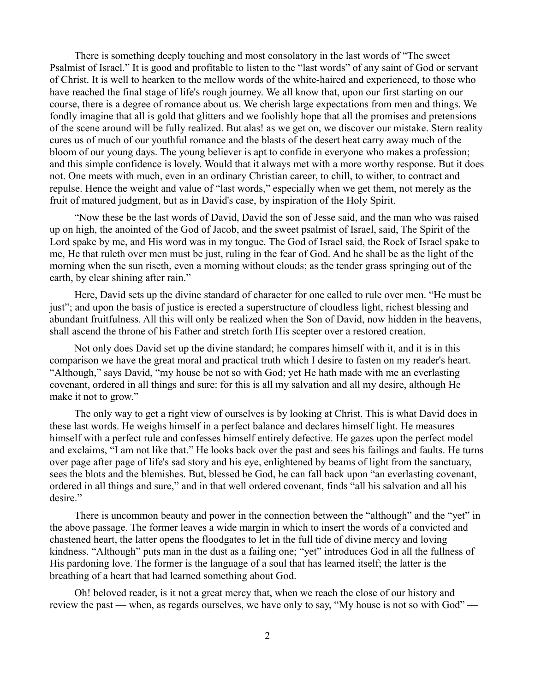There is something deeply touching and most consolatory in the last words of "The sweet Psalmist of Israel." It is good and profitable to listen to the "last words" of any saint of God or servant of Christ. It is well to hearken to the mellow words of the white-haired and experienced, to those who have reached the final stage of life's rough journey. We all know that, upon our first starting on our course, there is a degree of romance about us. We cherish large expectations from men and things. We fondly imagine that all is gold that glitters and we foolishly hope that all the promises and pretensions of the scene around will be fully realized. But alas! as we get on, we discover our mistake. Stern reality cures us of much of our youthful romance and the blasts of the desert heat carry away much of the bloom of our young days. The young believer is apt to confide in everyone who makes a profession; and this simple confidence is lovely. Would that it always met with a more worthy response. But it does not. One meets with much, even in an ordinary Christian career, to chill, to wither, to contract and repulse. Hence the weight and value of "last words," especially when we get them, not merely as the fruit of matured judgment, but as in David's case, by inspiration of the Holy Spirit.

"Now these be the last words of David, David the son of Jesse said, and the man who was raised up on high, the anointed of the God of Jacob, and the sweet psalmist of Israel, said, The Spirit of the Lord spake by me, and His word was in my tongue. The God of Israel said, the Rock of Israel spake to me, He that ruleth over men must be just, ruling in the fear of God. And he shall be as the light of the morning when the sun riseth, even a morning without clouds; as the tender grass springing out of the earth, by clear shining after rain."

Here, David sets up the divine standard of character for one called to rule over men. "He must be just"; and upon the basis of justice is erected a superstructure of cloudless light, richest blessing and abundant fruitfulness. All this will only be realized when the Son of David, now hidden in the heavens, shall ascend the throne of his Father and stretch forth His scepter over a restored creation.

Not only does David set up the divine standard; he compares himself with it, and it is in this comparison we have the great moral and practical truth which I desire to fasten on my reader's heart. "Although," says David, "my house be not so with God; yet He hath made with me an everlasting covenant, ordered in all things and sure: for this is all my salvation and all my desire, although He make it not to grow."

The only way to get a right view of ourselves is by looking at Christ. This is what David does in these last words. He weighs himself in a perfect balance and declares himself light. He measures himself with a perfect rule and confesses himself entirely defective. He gazes upon the perfect model and exclaims, "I am not like that." He looks back over the past and sees his failings and faults. He turns over page after page of life's sad story and his eye, enlightened by beams of light from the sanctuary, sees the blots and the blemishes. But, blessed be God, he can fall back upon "an everlasting covenant, ordered in all things and sure," and in that well ordered covenant, finds "all his salvation and all his desire."

There is uncommon beauty and power in the connection between the "although" and the "yet" in the above passage. The former leaves a wide margin in which to insert the words of a convicted and chastened heart, the latter opens the floodgates to let in the full tide of divine mercy and loving kindness. "Although" puts man in the dust as a failing one; "yet" introduces God in all the fullness of His pardoning love. The former is the language of a soul that has learned itself; the latter is the breathing of a heart that had learned something about God.

Oh! beloved reader, is it not a great mercy that, when we reach the close of our history and review the past — when, as regards ourselves, we have only to say, "My house is not so with God" —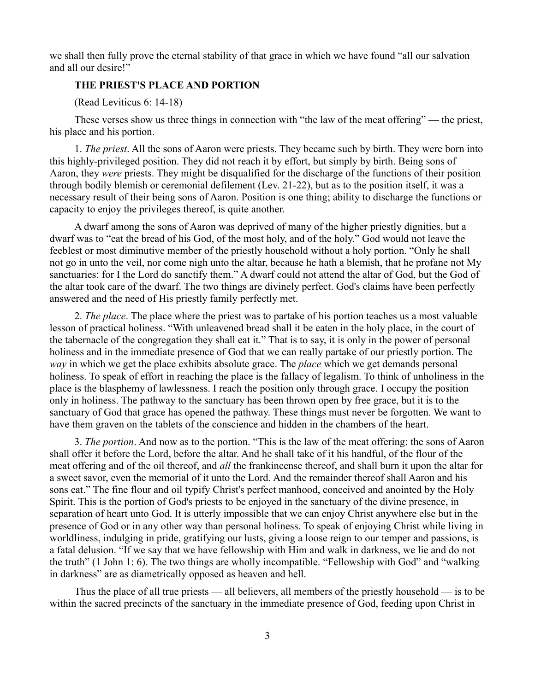we shall then fully prove the eternal stability of that grace in which we have found "all our salvation and all our desire!"

### **THE PRIEST'S PLACE AND PORTION**

(Read Leviticus 6: 14-18)

These verses show us three things in connection with "the law of the meat offering" — the priest, his place and his portion.

1. *The priest*. All the sons of Aaron were priests. They became such by birth. They were born into this highly-privileged position. They did not reach it by effort, but simply by birth. Being sons of Aaron, they *were* priests. They might be disqualified for the discharge of the functions of their position through bodily blemish or ceremonial defilement (Lev. 21-22), but as to the position itself, it was a necessary result of their being sons of Aaron. Position is one thing; ability to discharge the functions or capacity to enjoy the privileges thereof, is quite another.

A dwarf among the sons of Aaron was deprived of many of the higher priestly dignities, but a dwarf was to "eat the bread of his God, of the most holy, and of the holy." God would not leave the feeblest or most diminutive member of the priestly household without a holy portion. "Only he shall not go in unto the veil, nor come nigh unto the altar, because he hath a blemish, that he profane not My sanctuaries: for I the Lord do sanctify them." A dwarf could not attend the altar of God, but the God of the altar took care of the dwarf. The two things are divinely perfect. God's claims have been perfectly answered and the need of His priestly family perfectly met.

2. *The place*. The place where the priest was to partake of his portion teaches us a most valuable lesson of practical holiness. "With unleavened bread shall it be eaten in the holy place, in the court of the tabernacle of the congregation they shall eat it." That is to say, it is only in the power of personal holiness and in the immediate presence of God that we can really partake of our priestly portion. The *way* in which we get the place exhibits absolute grace. The *place* which we get demands personal holiness. To speak of effort in reaching the place is the fallacy of legalism. To think of unholiness in the place is the blasphemy of lawlessness. I reach the position only through grace. I occupy the position only in holiness. The pathway to the sanctuary has been thrown open by free grace, but it is to the sanctuary of God that grace has opened the pathway. These things must never be forgotten. We want to have them graven on the tablets of the conscience and hidden in the chambers of the heart.

3. *The portion*. And now as to the portion. "This is the law of the meat offering: the sons of Aaron shall offer it before the Lord, before the altar. And he shall take of it his handful, of the flour of the meat offering and of the oil thereof, and *all* the frankincense thereof, and shall burn it upon the altar for a sweet savor, even the memorial of it unto the Lord. And the remainder thereof shall Aaron and his sons eat." The fine flour and oil typify Christ's perfect manhood, conceived and anointed by the Holy Spirit. This is the portion of God's priests to be enjoyed in the sanctuary of the divine presence, in separation of heart unto God. It is utterly impossible that we can enjoy Christ anywhere else but in the presence of God or in any other way than personal holiness. To speak of enjoying Christ while living in worldliness, indulging in pride, gratifying our lusts, giving a loose reign to our temper and passions, is a fatal delusion. "If we say that we have fellowship with Him and walk in darkness, we lie and do not the truth" (1 John 1: 6). The two things are wholly incompatible. "Fellowship with God" and "walking in darkness" are as diametrically opposed as heaven and hell.

Thus the place of all true priests — all believers, all members of the priestly household — is to be within the sacred precincts of the sanctuary in the immediate presence of God, feeding upon Christ in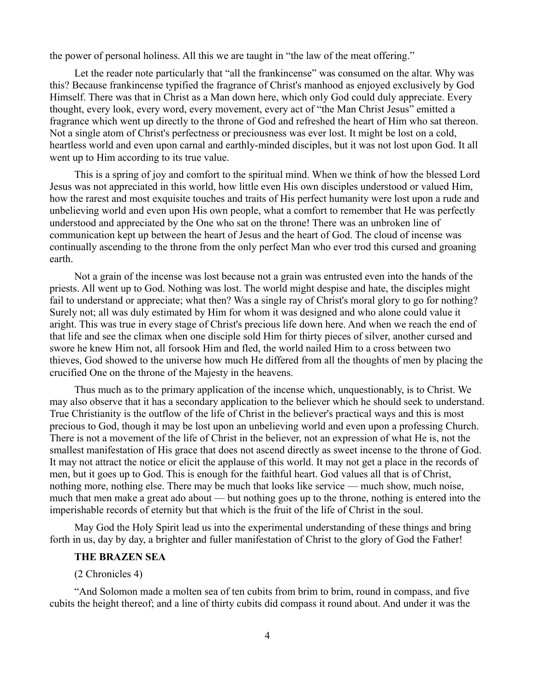the power of personal holiness. All this we are taught in "the law of the meat offering."

Let the reader note particularly that "all the frankincense" was consumed on the altar. Why was this? Because frankincense typified the fragrance of Christ's manhood as enjoyed exclusively by God Himself. There was that in Christ as a Man down here, which only God could duly appreciate. Every thought, every look, every word, every movement, every act of "the Man Christ Jesus" emitted a fragrance which went up directly to the throne of God and refreshed the heart of Him who sat thereon. Not a single atom of Christ's perfectness or preciousness was ever lost. It might be lost on a cold, heartless world and even upon carnal and earthly-minded disciples, but it was not lost upon God. It all went up to Him according to its true value.

This is a spring of joy and comfort to the spiritual mind. When we think of how the blessed Lord Jesus was not appreciated in this world, how little even His own disciples understood or valued Him, how the rarest and most exquisite touches and traits of His perfect humanity were lost upon a rude and unbelieving world and even upon His own people, what a comfort to remember that He was perfectly understood and appreciated by the One who sat on the throne! There was an unbroken line of communication kept up between the heart of Jesus and the heart of God. The cloud of incense was continually ascending to the throne from the only perfect Man who ever trod this cursed and groaning earth.

Not a grain of the incense was lost because not a grain was entrusted even into the hands of the priests. All went up to God. Nothing was lost. The world might despise and hate, the disciples might fail to understand or appreciate; what then? Was a single ray of Christ's moral glory to go for nothing? Surely not; all was duly estimated by Him for whom it was designed and who alone could value it aright. This was true in every stage of Christ's precious life down here. And when we reach the end of that life and see the climax when one disciple sold Him for thirty pieces of silver, another cursed and swore he knew Him not, all forsook Him and fled, the world nailed Him to a cross between two thieves, God showed to the universe how much He differed from all the thoughts of men by placing the crucified One on the throne of the Majesty in the heavens.

Thus much as to the primary application of the incense which, unquestionably, is to Christ. We may also observe that it has a secondary application to the believer which he should seek to understand. True Christianity is the outflow of the life of Christ in the believer's practical ways and this is most precious to God, though it may be lost upon an unbelieving world and even upon a professing Church. There is not a movement of the life of Christ in the believer, not an expression of what He is, not the smallest manifestation of His grace that does not ascend directly as sweet incense to the throne of God. It may not attract the notice or elicit the applause of this world. It may not get a place in the records of men, but it goes up to God. This is enough for the faithful heart. God values all that is of Christ, nothing more, nothing else. There may be much that looks like service — much show, much noise, much that men make a great ado about — but nothing goes up to the throne, nothing is entered into the imperishable records of eternity but that which is the fruit of the life of Christ in the soul.

May God the Holy Spirit lead us into the experimental understanding of these things and bring forth in us, day by day, a brighter and fuller manifestation of Christ to the glory of God the Father!

# **THE BRAZEN SEA**

### (2 Chronicles 4)

"And Solomon made a molten sea of ten cubits from brim to brim, round in compass, and five cubits the height thereof; and a line of thirty cubits did compass it round about. And under it was the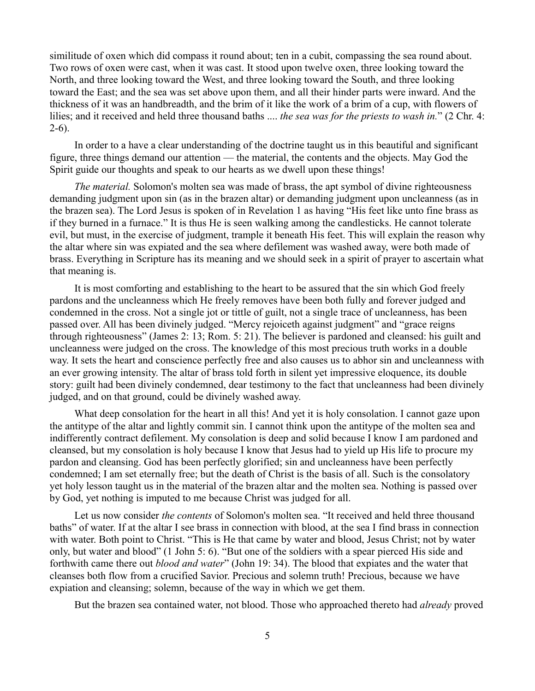similitude of oxen which did compass it round about; ten in a cubit, compassing the sea round about. Two rows of oxen were cast, when it was cast. It stood upon twelve oxen, three looking toward the North, and three looking toward the West, and three looking toward the South, and three looking toward the East; and the sea was set above upon them, and all their hinder parts were inward. And the thickness of it was an handbreadth, and the brim of it like the work of a brim of a cup, with flowers of lilies; and it received and held three thousand baths .... *the sea was for the priests to wash in.*" (2 Chr. 4:  $2-6$ ).

In order to a have a clear understanding of the doctrine taught us in this beautiful and significant figure, three things demand our attention — the material, the contents and the objects. May God the Spirit guide our thoughts and speak to our hearts as we dwell upon these things!

*The material.* Solomon's molten sea was made of brass, the apt symbol of divine righteousness demanding judgment upon sin (as in the brazen altar) or demanding judgment upon uncleanness (as in the brazen sea). The Lord Jesus is spoken of in Revelation 1 as having "His feet like unto fine brass as if they burned in a furnace." It is thus He is seen walking among the candlesticks. He cannot tolerate evil, but must, in the exercise of judgment, trample it beneath His feet. This will explain the reason why the altar where sin was expiated and the sea where defilement was washed away, were both made of brass. Everything in Scripture has its meaning and we should seek in a spirit of prayer to ascertain what that meaning is.

It is most comforting and establishing to the heart to be assured that the sin which God freely pardons and the uncleanness which He freely removes have been both fully and forever judged and condemned in the cross. Not a single jot or tittle of guilt, not a single trace of uncleanness, has been passed over. All has been divinely judged. "Mercy rejoiceth against judgment" and "grace reigns through righteousness" (James 2: 13; Rom. 5: 21). The believer is pardoned and cleansed: his guilt and uncleanness were judged on the cross. The knowledge of this most precious truth works in a double way. It sets the heart and conscience perfectly free and also causes us to abhor sin and uncleanness with an ever growing intensity. The altar of brass told forth in silent yet impressive eloquence, its double story: guilt had been divinely condemned, dear testimony to the fact that uncleanness had been divinely judged, and on that ground, could be divinely washed away.

What deep consolation for the heart in all this! And yet it is holy consolation. I cannot gaze upon the antitype of the altar and lightly commit sin. I cannot think upon the antitype of the molten sea and indifferently contract defilement. My consolation is deep and solid because I know I am pardoned and cleansed, but my consolation is holy because I know that Jesus had to yield up His life to procure my pardon and cleansing. God has been perfectly glorified; sin and uncleanness have been perfectly condemned; I am set eternally free; but the death of Christ is the basis of all. Such is the consolatory yet holy lesson taught us in the material of the brazen altar and the molten sea. Nothing is passed over by God, yet nothing is imputed to me because Christ was judged for all.

Let us now consider *the contents* of Solomon's molten sea. "It received and held three thousand baths" of water. If at the altar I see brass in connection with blood, at the sea I find brass in connection with water. Both point to Christ. "This is He that came by water and blood, Jesus Christ; not by water only, but water and blood" (1 John 5: 6). "But one of the soldiers with a spear pierced His side and forthwith came there out *blood and water*" (John 19: 34). The blood that expiates and the water that cleanses both flow from a crucified Savior. Precious and solemn truth! Precious, because we have expiation and cleansing; solemn, because of the way in which we get them.

But the brazen sea contained water, not blood. Those who approached thereto had *already* proved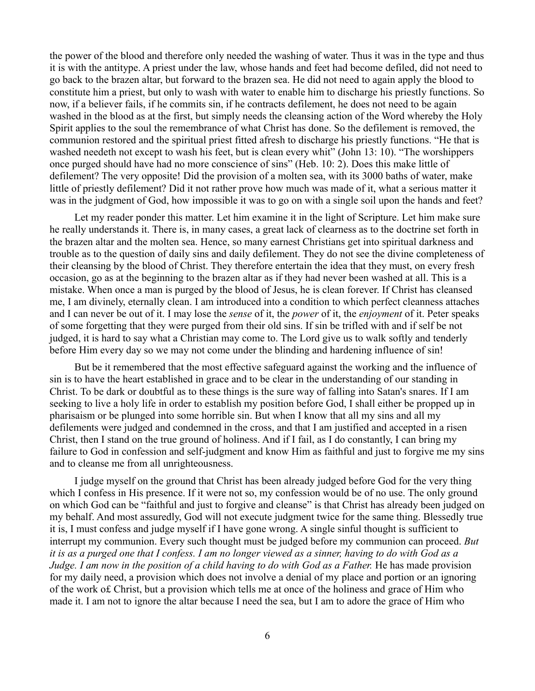the power of the blood and therefore only needed the washing of water. Thus it was in the type and thus it is with the antitype. A priest under the law, whose hands and feet had become defiled, did not need to go back to the brazen altar, but forward to the brazen sea. He did not need to again apply the blood to constitute him a priest, but only to wash with water to enable him to discharge his priestly functions. So now, if a believer fails, if he commits sin, if he contracts defilement, he does not need to be again washed in the blood as at the first, but simply needs the cleansing action of the Word whereby the Holy Spirit applies to the soul the remembrance of what Christ has done. So the defilement is removed, the communion restored and the spiritual priest fitted afresh to discharge his priestly functions. "He that is washed needeth not except to wash his feet, but is clean every whit" (John 13: 10). "The worshippers once purged should have had no more conscience of sins" (Heb. 10: 2). Does this make little of defilement? The very opposite! Did the provision of a molten sea, with its 3000 baths of water, make little of priestly defilement? Did it not rather prove how much was made of it, what a serious matter it was in the judgment of God, how impossible it was to go on with a single soil upon the hands and feet?

Let my reader ponder this matter. Let him examine it in the light of Scripture. Let him make sure he really understands it. There is, in many cases, a great lack of clearness as to the doctrine set forth in the brazen altar and the molten sea. Hence, so many earnest Christians get into spiritual darkness and trouble as to the question of daily sins and daily defilement. They do not see the divine completeness of their cleansing by the blood of Christ. They therefore entertain the idea that they must, on every fresh occasion, go as at the beginning to the brazen altar as if they had never been washed at all. This is a mistake. When once a man is purged by the blood of Jesus, he is clean forever. If Christ has cleansed me, I am divinely, eternally clean. I am introduced into a condition to which perfect cleanness attaches and I can never be out of it. I may lose the *sense* of it, the *power* of it, the *enjoyment* of it. Peter speaks of some forgetting that they were purged from their old sins. If sin be trifled with and if self be not judged, it is hard to say what a Christian may come to. The Lord give us to walk softly and tenderly before Him every day so we may not come under the blinding and hardening influence of sin!

But be it remembered that the most effective safeguard against the working and the influence of sin is to have the heart established in grace and to be clear in the understanding of our standing in Christ. To be dark or doubtful as to these things is the sure way of falling into Satan's snares. If I am seeking to live a holy life in order to establish my position before God, I shall either be propped up in pharisaism or be plunged into some horrible sin. But when I know that all my sins and all my defilements were judged and condemned in the cross, and that I am justified and accepted in a risen Christ, then I stand on the true ground of holiness. And if I fail, as I do constantly, I can bring my failure to God in confession and self-judgment and know Him as faithful and just to forgive me my sins and to cleanse me from all unrighteousness.

I judge myself on the ground that Christ has been already judged before God for the very thing which I confess in His presence. If it were not so, my confession would be of no use. The only ground on which God can be "faithful and just to forgive and cleanse" is that Christ has already been judged on my behalf. And most assuredly, God will not execute judgment twice for the same thing. Blessedly true it is, I must confess and judge myself if I have gone wrong. A single sinful thought is sufficient to interrupt my communion. Every such thought must be judged before my communion can proceed. *But it is as a purged one that I confess. I am no longer viewed as a sinner, having to do with God as a Judge. I am now in the position of a child having to do with God as a Father.* He has made provision for my daily need, a provision which does not involve a denial of my place and portion or an ignoring of the work o£ Christ, but a provision which tells me at once of the holiness and grace of Him who made it. I am not to ignore the altar because I need the sea, but I am to adore the grace of Him who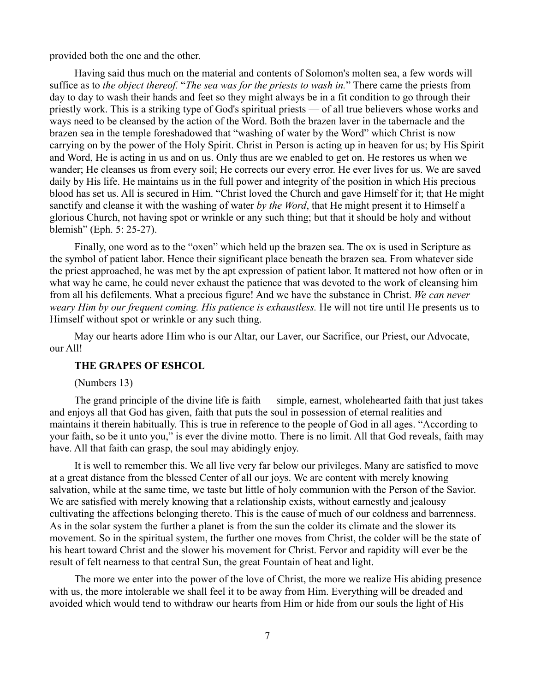provided both the one and the other.

Having said thus much on the material and contents of Solomon's molten sea, a few words will suffice as to *the object thereof.* "*The sea was for the priests to wash in.*" There came the priests from day to day to wash their hands and feet so they might always be in a fit condition to go through their priestly work. This is a striking type of God's spiritual priests — of all true believers whose works and ways need to be cleansed by the action of the Word. Both the brazen laver in the tabernacle and the brazen sea in the temple foreshadowed that "washing of water by the Word" which Christ is now carrying on by the power of the Holy Spirit. Christ in Person is acting up in heaven for us; by His Spirit and Word, He is acting in us and on us. Only thus are we enabled to get on. He restores us when we wander; He cleanses us from every soil; He corrects our every error. He ever lives for us. We are saved daily by His life. He maintains us in the full power and integrity of the position in which His precious blood has set us. All is secured in Him. "Christ loved the Church and gave Himself for it; that He might sanctify and cleanse it with the washing of water *by the Word*, that He might present it to Himself a glorious Church, not having spot or wrinkle or any such thing; but that it should be holy and without blemish" (Eph. 5: 25-27).

Finally, one word as to the "oxen" which held up the brazen sea. The ox is used in Scripture as the symbol of patient labor. Hence their significant place beneath the brazen sea. From whatever side the priest approached, he was met by the apt expression of patient labor. It mattered not how often or in what way he came, he could never exhaust the patience that was devoted to the work of cleansing him from all his defilements. What a precious figure! And we have the substance in Christ. *We can never weary Him by our frequent coming. His patience is exhaustless.* He will not tire until He presents us to Himself without spot or wrinkle or any such thing.

May our hearts adore Him who is our Altar, our Laver, our Sacrifice, our Priest, our Advocate, our All!

## **THE GRAPES OF ESHCOL**

(Numbers 13)

The grand principle of the divine life is faith — simple, earnest, wholehearted faith that just takes and enjoys all that God has given, faith that puts the soul in possession of eternal realities and maintains it therein habitually. This is true in reference to the people of God in all ages. "According to your faith, so be it unto you," is ever the divine motto. There is no limit. All that God reveals, faith may have. All that faith can grasp, the soul may abidingly enjoy.

It is well to remember this. We all live very far below our privileges. Many are satisfied to move at a great distance from the blessed Center of all our joys. We are content with merely knowing salvation, while at the same time, we taste but little of holy communion with the Person of the Savior. We are satisfied with merely knowing that a relationship exists, without earnestly and jealousy cultivating the affections belonging thereto. This is the cause of much of our coldness and barrenness. As in the solar system the further a planet is from the sun the colder its climate and the slower its movement. So in the spiritual system, the further one moves from Christ, the colder will be the state of his heart toward Christ and the slower his movement for Christ. Fervor and rapidity will ever be the result of felt nearness to that central Sun, the great Fountain of heat and light.

The more we enter into the power of the love of Christ, the more we realize His abiding presence with us, the more intolerable we shall feel it to be away from Him. Everything will be dreaded and avoided which would tend to withdraw our hearts from Him or hide from our souls the light of His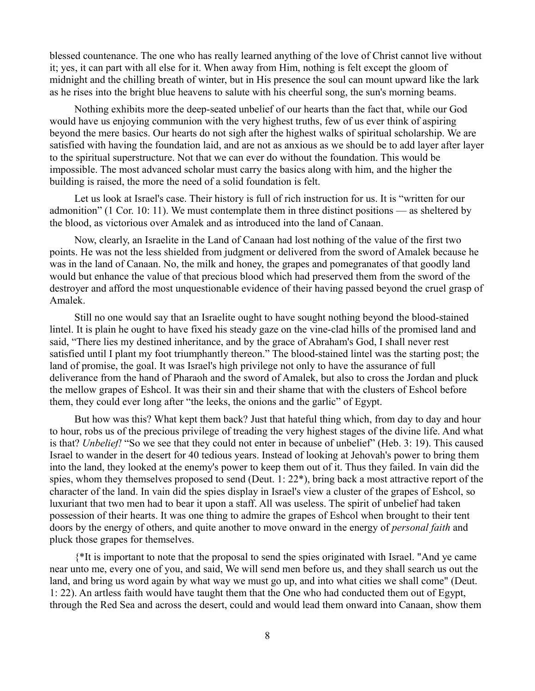blessed countenance. The one who has really learned anything of the love of Christ cannot live without it; yes, it can part with all else for it. When away from Him, nothing is felt except the gloom of midnight and the chilling breath of winter, but in His presence the soul can mount upward like the lark as he rises into the bright blue heavens to salute with his cheerful song, the sun's morning beams.

Nothing exhibits more the deep-seated unbelief of our hearts than the fact that, while our God would have us enjoying communion with the very highest truths, few of us ever think of aspiring beyond the mere basics. Our hearts do not sigh after the highest walks of spiritual scholarship. We are satisfied with having the foundation laid, and are not as anxious as we should be to add layer after layer to the spiritual superstructure. Not that we can ever do without the foundation. This would be impossible. The most advanced scholar must carry the basics along with him, and the higher the building is raised, the more the need of a solid foundation is felt.

Let us look at Israel's case. Their history is full of rich instruction for us. It is "written for our admonition" (1 Cor. 10: 11). We must contemplate them in three distinct positions — as sheltered by the blood, as victorious over Amalek and as introduced into the land of Canaan.

Now, clearly, an Israelite in the Land of Canaan had lost nothing of the value of the first two points. He was not the less shielded from judgment or delivered from the sword of Amalek because he was in the land of Canaan. No, the milk and honey, the grapes and pomegranates of that goodly land would but enhance the value of that precious blood which had preserved them from the sword of the destroyer and afford the most unquestionable evidence of their having passed beyond the cruel grasp of Amalek.

Still no one would say that an Israelite ought to have sought nothing beyond the blood-stained lintel. It is plain he ought to have fixed his steady gaze on the vine-clad hills of the promised land and said, "There lies my destined inheritance, and by the grace of Abraham's God, I shall never rest satisfied until I plant my foot triumphantly thereon." The blood-stained lintel was the starting post; the land of promise, the goal. It was Israel's high privilege not only to have the assurance of full deliverance from the hand of Pharaoh and the sword of Amalek, but also to cross the Jordan and pluck the mellow grapes of Eshcol. It was their sin and their shame that with the clusters of Eshcol before them, they could ever long after "the leeks, the onions and the garlic" of Egypt.

But how was this? What kept them back? Just that hateful thing which, from day to day and hour to hour, robs us of the precious privilege of treading the very highest stages of the divine life. And what is that? *Unbelief!* "So we see that they could not enter in because of unbelief" (Heb. 3: 19). This caused Israel to wander in the desert for 40 tedious years. Instead of looking at Jehovah's power to bring them into the land, they looked at the enemy's power to keep them out of it. Thus they failed. In vain did the spies, whom they themselves proposed to send (Deut. 1: 22\*), bring back a most attractive report of the character of the land. In vain did the spies display in Israel's view a cluster of the grapes of Eshcol, so luxuriant that two men had to bear it upon a staff. All was useless. The spirit of unbelief had taken possession of their hearts. It was one thing to admire the grapes of Eshcol when brought to their tent doors by the energy of others, and quite another to move onward in the energy of *personal faith* and pluck those grapes for themselves.

{\*It is important to note that the proposal to send the spies originated with Israel. "And ye came near unto me, every one of you, and said, We will send men before us, and they shall search us out the land, and bring us word again by what way we must go up, and into what cities we shall come" (Deut. 1: 22). An artless faith would have taught them that the One who had conducted them out of Egypt, through the Red Sea and across the desert, could and would lead them onward into Canaan, show them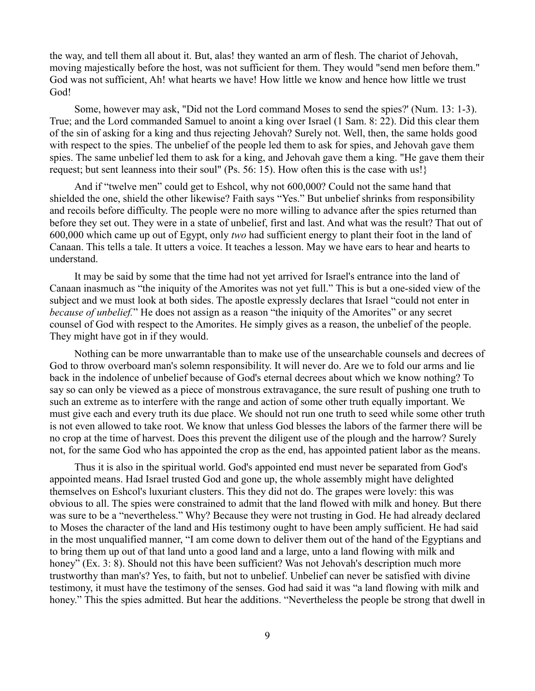the way, and tell them all about it. But, alas! they wanted an arm of flesh. The chariot of Jehovah, moving majestically before the host, was not sufficient for them. They would "send men before them." God was not sufficient, Ah! what hearts we have! How little we know and hence how little we trust God!

Some, however may ask, "Did not the Lord command Moses to send the spies?' (Num. 13: 1-3). True; and the Lord commanded Samuel to anoint a king over Israel (1 Sam. 8: 22). Did this clear them of the sin of asking for a king and thus rejecting Jehovah? Surely not. Well, then, the same holds good with respect to the spies. The unbelief of the people led them to ask for spies, and Jehovah gave them spies. The same unbelief led them to ask for a king, and Jehovah gave them a king. "He gave them their request; but sent leanness into their soul" (Ps. 56: 15). How often this is the case with us!}

And if "twelve men" could get to Eshcol, why not 600,000? Could not the same hand that shielded the one, shield the other likewise? Faith says "Yes." But unbelief shrinks from responsibility and recoils before difficulty. The people were no more willing to advance after the spies returned than before they set out. They were in a state of unbelief, first and last. And what was the result? That out of 600,000 which came up out of Egypt, only *two* had sufficient energy to plant their foot in the land of Canaan. This tells a tale. It utters a voice. It teaches a lesson. May we have ears to hear and hearts to understand.

It may be said by some that the time had not yet arrived for Israel's entrance into the land of Canaan inasmuch as "the iniquity of the Amorites was not yet full." This is but a one-sided view of the subject and we must look at both sides. The apostle expressly declares that Israel "could not enter in *because of unbelief.*" He does not assign as a reason "the iniquity of the Amorites" or any secret counsel of God with respect to the Amorites. He simply gives as a reason, the unbelief of the people. They might have got in if they would.

Nothing can be more unwarrantable than to make use of the unsearchable counsels and decrees of God to throw overboard man's solemn responsibility. It will never do. Are we to fold our arms and lie back in the indolence of unbelief because of God's eternal decrees about which we know nothing? To say so can only be viewed as a piece of monstrous extravagance, the sure result of pushing one truth to such an extreme as to interfere with the range and action of some other truth equally important. We must give each and every truth its due place. We should not run one truth to seed while some other truth is not even allowed to take root. We know that unless God blesses the labors of the farmer there will be no crop at the time of harvest. Does this prevent the diligent use of the plough and the harrow? Surely not, for the same God who has appointed the crop as the end, has appointed patient labor as the means.

Thus it is also in the spiritual world. God's appointed end must never be separated from God's appointed means. Had Israel trusted God and gone up, the whole assembly might have delighted themselves on Eshcol's luxuriant clusters. This they did not do. The grapes were lovely: this was obvious to all. The spies were constrained to admit that the land flowed with milk and honey. But there was sure to be a "nevertheless." Why? Because they were not trusting in God. He had already declared to Moses the character of the land and His testimony ought to have been amply sufficient. He had said in the most unqualified manner, "I am come down to deliver them out of the hand of the Egyptians and to bring them up out of that land unto a good land and a large, unto a land flowing with milk and honey" (Ex. 3: 8). Should not this have been sufficient? Was not Jehovah's description much more trustworthy than man's? Yes, to faith, but not to unbelief. Unbelief can never be satisfied with divine testimony, it must have the testimony of the senses. God had said it was "a land flowing with milk and honey." This the spies admitted. But hear the additions. "Nevertheless the people be strong that dwell in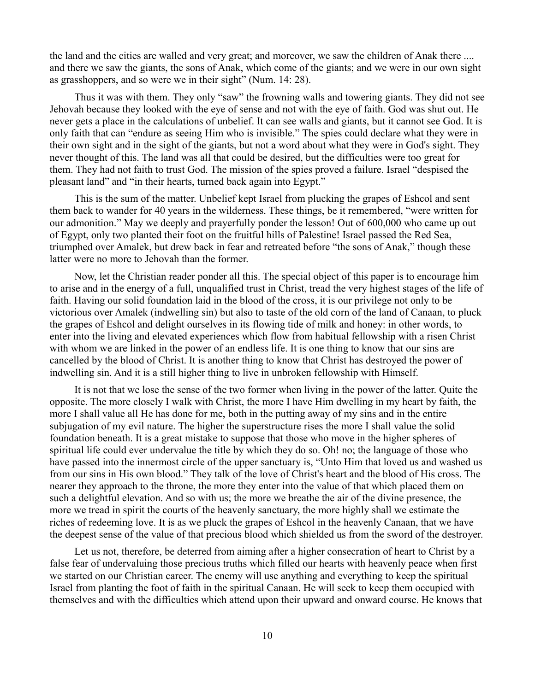the land and the cities are walled and very great; and moreover, we saw the children of Anak there .... and there we saw the giants, the sons of Anak, which come of the giants; and we were in our own sight as grasshoppers, and so were we in their sight" (Num. 14: 28).

Thus it was with them. They only "saw" the frowning walls and towering giants. They did not see Jehovah because they looked with the eye of sense and not with the eye of faith. God was shut out. He never gets a place in the calculations of unbelief. It can see walls and giants, but it cannot see God. It is only faith that can "endure as seeing Him who is invisible." The spies could declare what they were in their own sight and in the sight of the giants, but not a word about what they were in God's sight. They never thought of this. The land was all that could be desired, but the difficulties were too great for them. They had not faith to trust God. The mission of the spies proved a failure. Israel "despised the pleasant land" and "in their hearts, turned back again into Egypt."

This is the sum of the matter. Unbelief kept Israel from plucking the grapes of Eshcol and sent them back to wander for 40 years in the wilderness. These things, be it remembered, "were written for our admonition." May we deeply and prayerfully ponder the lesson! Out of 600,000 who came up out of Egypt, only two planted their foot on the fruitful hills of Palestine! Israel passed the Red Sea, triumphed over Amalek, but drew back in fear and retreated before "the sons of Anak," though these latter were no more to Jehovah than the former.

Now, let the Christian reader ponder all this. The special object of this paper is to encourage him to arise and in the energy of a full, unqualified trust in Christ, tread the very highest stages of the life of faith. Having our solid foundation laid in the blood of the cross, it is our privilege not only to be victorious over Amalek (indwelling sin) but also to taste of the old corn of the land of Canaan, to pluck the grapes of Eshcol and delight ourselves in its flowing tide of milk and honey: in other words, to enter into the living and elevated experiences which flow from habitual fellowship with a risen Christ with whom we are linked in the power of an endless life. It is one thing to know that our sins are cancelled by the blood of Christ. It is another thing to know that Christ has destroyed the power of indwelling sin. And it is a still higher thing to live in unbroken fellowship with Himself.

It is not that we lose the sense of the two former when living in the power of the latter. Quite the opposite. The more closely I walk with Christ, the more I have Him dwelling in my heart by faith, the more I shall value all He has done for me, both in the putting away of my sins and in the entire subjugation of my evil nature. The higher the superstructure rises the more I shall value the solid foundation beneath. It is a great mistake to suppose that those who move in the higher spheres of spiritual life could ever undervalue the title by which they do so. Oh! no; the language of those who have passed into the innermost circle of the upper sanctuary is, "Unto Him that loved us and washed us from our sins in His own blood." They talk of the love of Christ's heart and the blood of His cross. The nearer they approach to the throne, the more they enter into the value of that which placed them on such a delightful elevation. And so with us; the more we breathe the air of the divine presence, the more we tread in spirit the courts of the heavenly sanctuary, the more highly shall we estimate the riches of redeeming love. It is as we pluck the grapes of Eshcol in the heavenly Canaan, that we have the deepest sense of the value of that precious blood which shielded us from the sword of the destroyer.

Let us not, therefore, be deterred from aiming after a higher consecration of heart to Christ by a false fear of undervaluing those precious truths which filled our hearts with heavenly peace when first we started on our Christian career. The enemy will use anything and everything to keep the spiritual Israel from planting the foot of faith in the spiritual Canaan. He will seek to keep them occupied with themselves and with the difficulties which attend upon their upward and onward course. He knows that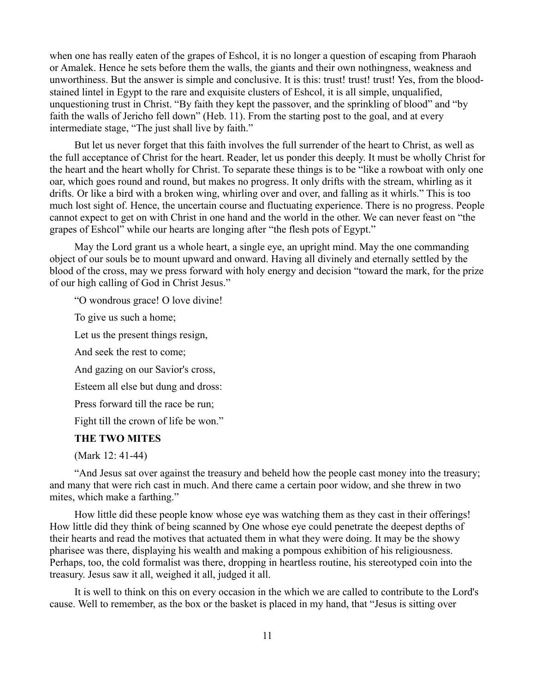when one has really eaten of the grapes of Eshcol, it is no longer a question of escaping from Pharaoh or Amalek. Hence he sets before them the walls, the giants and their own nothingness, weakness and unworthiness. But the answer is simple and conclusive. It is this: trust! trust! trust! Yes, from the bloodstained lintel in Egypt to the rare and exquisite clusters of Eshcol, it is all simple, unqualified, unquestioning trust in Christ. "By faith they kept the passover, and the sprinkling of blood" and "by faith the walls of Jericho fell down" (Heb. 11). From the starting post to the goal, and at every intermediate stage, "The just shall live by faith."

But let us never forget that this faith involves the full surrender of the heart to Christ, as well as the full acceptance of Christ for the heart. Reader, let us ponder this deeply. It must be wholly Christ for the heart and the heart wholly for Christ. To separate these things is to be "like a rowboat with only one oar, which goes round and round, but makes no progress. It only drifts with the stream, whirling as it drifts. Or like a bird with a broken wing, whirling over and over, and falling as it whirls." This is too much lost sight of. Hence, the uncertain course and fluctuating experience. There is no progress. People cannot expect to get on with Christ in one hand and the world in the other. We can never feast on "the grapes of Eshcol" while our hearts are longing after "the flesh pots of Egypt."

May the Lord grant us a whole heart, a single eye, an upright mind. May the one commanding object of our souls be to mount upward and onward. Having all divinely and eternally settled by the blood of the cross, may we press forward with holy energy and decision "toward the mark, for the prize of our high calling of God in Christ Jesus."

"O wondrous grace! O love divine!

To give us such a home;

Let us the present things resign,

And seek the rest to come;

And gazing on our Savior's cross,

Esteem all else but dung and dross:

Press forward till the race be run;

Fight till the crown of life be won."

# **THE TWO MITES**

(Mark 12: 41-44)

"And Jesus sat over against the treasury and beheld how the people cast money into the treasury; and many that were rich cast in much. And there came a certain poor widow, and she threw in two mites, which make a farthing."

How little did these people know whose eye was watching them as they cast in their offerings! How little did they think of being scanned by One whose eye could penetrate the deepest depths of their hearts and read the motives that actuated them in what they were doing. It may be the showy pharisee was there, displaying his wealth and making a pompous exhibition of his religiousness. Perhaps, too, the cold formalist was there, dropping in heartless routine, his stereotyped coin into the treasury. Jesus saw it all, weighed it all, judged it all.

It is well to think on this on every occasion in the which we are called to contribute to the Lord's cause. Well to remember, as the box or the basket is placed in my hand, that "Jesus is sitting over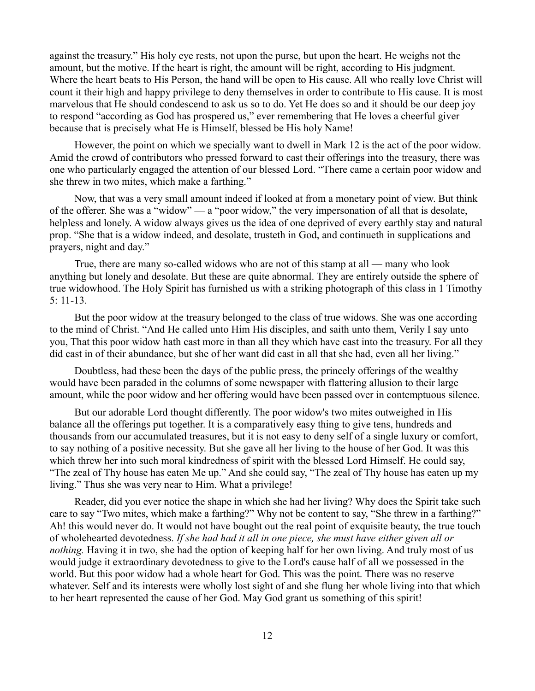against the treasury." His holy eye rests, not upon the purse, but upon the heart. He weighs not the amount, but the motive. If the heart is right, the amount will be right, according to His judgment. Where the heart beats to His Person, the hand will be open to His cause. All who really love Christ will count it their high and happy privilege to deny themselves in order to contribute to His cause. It is most marvelous that He should condescend to ask us so to do. Yet He does so and it should be our deep joy to respond "according as God has prospered us," ever remembering that He loves a cheerful giver because that is precisely what He is Himself, blessed be His holy Name!

However, the point on which we specially want to dwell in Mark 12 is the act of the poor widow. Amid the crowd of contributors who pressed forward to cast their offerings into the treasury, there was one who particularly engaged the attention of our blessed Lord. "There came a certain poor widow and she threw in two mites, which make a farthing."

Now, that was a very small amount indeed if looked at from a monetary point of view. But think of the offerer. She was a "widow" — a "poor widow," the very impersonation of all that is desolate, helpless and lonely. A widow always gives us the idea of one deprived of every earthly stay and natural prop. "She that is a widow indeed, and desolate, trusteth in God, and continueth in supplications and prayers, night and day."

True, there are many so-called widows who are not of this stamp at all — many who look anything but lonely and desolate. But these are quite abnormal. They are entirely outside the sphere of true widowhood. The Holy Spirit has furnished us with a striking photograph of this class in 1 Timothy 5: 11-13.

But the poor widow at the treasury belonged to the class of true widows. She was one according to the mind of Christ. "And He called unto Him His disciples, and saith unto them, Verily I say unto you, That this poor widow hath cast more in than all they which have cast into the treasury. For all they did cast in of their abundance, but she of her want did cast in all that she had, even all her living."

Doubtless, had these been the days of the public press, the princely offerings of the wealthy would have been paraded in the columns of some newspaper with flattering allusion to their large amount, while the poor widow and her offering would have been passed over in contemptuous silence.

But our adorable Lord thought differently. The poor widow's two mites outweighed in His balance all the offerings put together. It is a comparatively easy thing to give tens, hundreds and thousands from our accumulated treasures, but it is not easy to deny self of a single luxury or comfort, to say nothing of a positive necessity. But she gave all her living to the house of her God. It was this which threw her into such moral kindredness of spirit with the blessed Lord Himself. He could say, "The zeal of Thy house has eaten Me up." And she could say, "The zeal of Thy house has eaten up my living." Thus she was very near to Him. What a privilege!

Reader, did you ever notice the shape in which she had her living? Why does the Spirit take such care to say "Two mites, which make a farthing?" Why not be content to say, "She threw in a farthing?" Ah! this would never do. It would not have bought out the real point of exquisite beauty, the true touch of wholehearted devotedness. *If she had had it all in one piece, she must have either given all or nothing.* Having it in two, she had the option of keeping half for her own living. And truly most of us would judge it extraordinary devotedness to give to the Lord's cause half of all we possessed in the world. But this poor widow had a whole heart for God. This was the point. There was no reserve whatever. Self and its interests were wholly lost sight of and she flung her whole living into that which to her heart represented the cause of her God. May God grant us something of this spirit!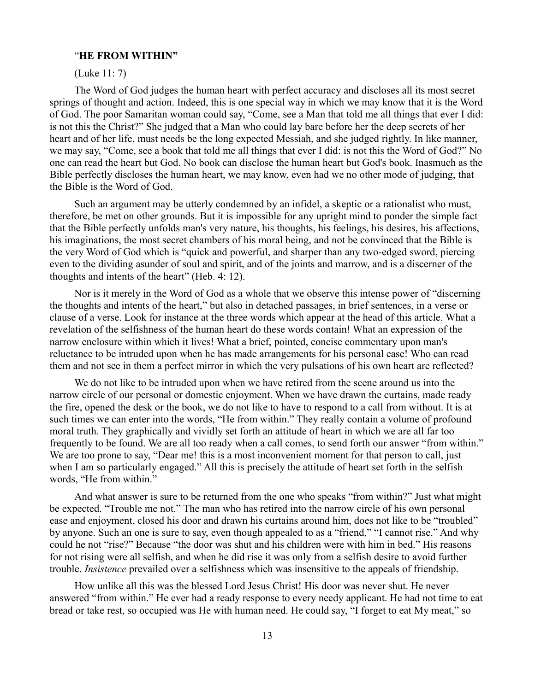#### "**HE FROM WITHIN"**

(Luke 11: 7)

The Word of God judges the human heart with perfect accuracy and discloses all its most secret springs of thought and action. Indeed, this is one special way in which we may know that it is the Word of God. The poor Samaritan woman could say, "Come, see a Man that told me all things that ever I did: is not this the Christ?" She judged that a Man who could lay bare before her the deep secrets of her heart and of her life, must needs be the long expected Messiah, and she judged rightly. In like manner, we may say, "Come, see a book that told me all things that ever I did: is not this the Word of God?" No one can read the heart but God. No book can disclose the human heart but God's book. Inasmuch as the Bible perfectly discloses the human heart, we may know, even had we no other mode of judging, that the Bible is the Word of God.

Such an argument may be utterly condemned by an infidel, a skeptic or a rationalist who must, therefore, be met on other grounds. But it is impossible for any upright mind to ponder the simple fact that the Bible perfectly unfolds man's very nature, his thoughts, his feelings, his desires, his affections, his imaginations, the most secret chambers of his moral being, and not be convinced that the Bible is the very Word of God which is "quick and powerful, and sharper than any two-edged sword, piercing even to the dividing asunder of soul and spirit, and of the joints and marrow, and is a discerner of the thoughts and intents of the heart" (Heb. 4: 12).

Nor is it merely in the Word of God as a whole that we observe this intense power of "discerning the thoughts and intents of the heart," but also in detached passages, in brief sentences, in a verse or clause of a verse. Look for instance at the three words which appear at the head of this article. What a revelation of the selfishness of the human heart do these words contain! What an expression of the narrow enclosure within which it lives! What a brief, pointed, concise commentary upon man's reluctance to be intruded upon when he has made arrangements for his personal ease! Who can read them and not see in them a perfect mirror in which the very pulsations of his own heart are reflected?

We do not like to be intruded upon when we have retired from the scene around us into the narrow circle of our personal or domestic enjoyment. When we have drawn the curtains, made ready the fire, opened the desk or the book, we do not like to have to respond to a call from without. It is at such times we can enter into the words, "He from within." They really contain a volume of profound moral truth. They graphically and vividly set forth an attitude of heart in which we are all far too frequently to be found. We are all too ready when a call comes, to send forth our answer "from within." We are too prone to say, "Dear me! this is a most inconvenient moment for that person to call, just when I am so particularly engaged." All this is precisely the attitude of heart set forth in the selfish words, "He from within."

And what answer is sure to be returned from the one who speaks "from within?" Just what might be expected. "Trouble me not." The man who has retired into the narrow circle of his own personal ease and enjoyment, closed his door and drawn his curtains around him, does not like to be "troubled" by anyone. Such an one is sure to say, even though appealed to as a "friend," "I cannot rise." And why could he not "rise?" Because "the door was shut and his children were with him in bed." His reasons for not rising were all selfish, and when he did rise it was only from a selfish desire to avoid further trouble. *Insistence* prevailed over a selfishness which was insensitive to the appeals of friendship.

How unlike all this was the blessed Lord Jesus Christ! His door was never shut. He never answered "from within." He ever had a ready response to every needy applicant. He had not time to eat bread or take rest, so occupied was He with human need. He could say, "I forget to eat My meat," so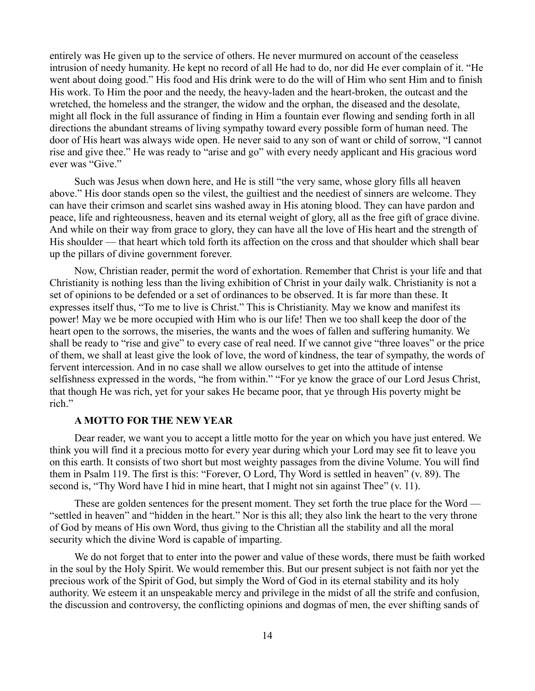entirely was He given up to the service of others. He never murmured on account of the ceaseless intrusion of needy humanity. He kept no record of all He had to do, nor did He ever complain of it. "He went about doing good." His food and His drink were to do the will of Him who sent Him and to finish His work. To Him the poor and the needy, the heavy-laden and the heart-broken, the outcast and the wretched, the homeless and the stranger, the widow and the orphan, the diseased and the desolate, might all flock in the full assurance of finding in Him a fountain ever flowing and sending forth in all directions the abundant streams of living sympathy toward every possible form of human need. The door of His heart was always wide open. He never said to any son of want or child of sorrow, "I cannot rise and give thee." He was ready to "arise and go" with every needy applicant and His gracious word ever was "Give."

Such was Jesus when down here, and He is still "the very same, whose glory fills all heaven above." His door stands open so the vilest, the guiltiest and the neediest of sinners are welcome. They can have their crimson and scarlet sins washed away in His atoning blood. They can have pardon and peace, life and righteousness, heaven and its eternal weight of glory, all as the free gift of grace divine. And while on their way from grace to glory, they can have all the love of His heart and the strength of His shoulder — that heart which told forth its affection on the cross and that shoulder which shall bear up the pillars of divine government forever.

Now, Christian reader, permit the word of exhortation. Remember that Christ is your life and that Christianity is nothing less than the living exhibition of Christ in your daily walk. Christianity is not a set of opinions to be defended or a set of ordinances to be observed. It is far more than these. It expresses itself thus, "To me to live is Christ." This is Christianity. May we know and manifest its power! May we be more occupied with Him who is our life! Then we too shall keep the door of the heart open to the sorrows, the miseries, the wants and the woes of fallen and suffering humanity. We shall be ready to "rise and give" to every case of real need. If we cannot give "three loaves" or the price of them, we shall at least give the look of love, the word of kindness, the tear of sympathy, the words of fervent intercession. And in no case shall we allow ourselves to get into the attitude of intense selfishness expressed in the words, "he from within." "For ye know the grace of our Lord Jesus Christ, that though He was rich, yet for your sakes He became poor, that ye through His poverty might be rich."

### **A MOTTO FOR THE NEW YEAR**

Dear reader, we want you to accept a little motto for the year on which you have just entered. We think you will find it a precious motto for every year during which your Lord may see fit to leave you on this earth. It consists of two short but most weighty passages from the divine Volume. You will find them in Psalm 119. The first is this: "Forever, O Lord, Thy Word is settled in heaven" (v. 89). The second is, "Thy Word have I hid in mine heart, that I might not sin against Thee" (v. 11).

These are golden sentences for the present moment. They set forth the true place for the Word — "settled in heaven" and "hidden in the heart." Nor is this all; they also link the heart to the very throne of God by means of His own Word, thus giving to the Christian all the stability and all the moral security which the divine Word is capable of imparting.

We do not forget that to enter into the power and value of these words, there must be faith worked in the soul by the Holy Spirit. We would remember this. But our present subject is not faith nor yet the precious work of the Spirit of God, but simply the Word of God in its eternal stability and its holy authority. We esteem it an unspeakable mercy and privilege in the midst of all the strife and confusion, the discussion and controversy, the conflicting opinions and dogmas of men, the ever shifting sands of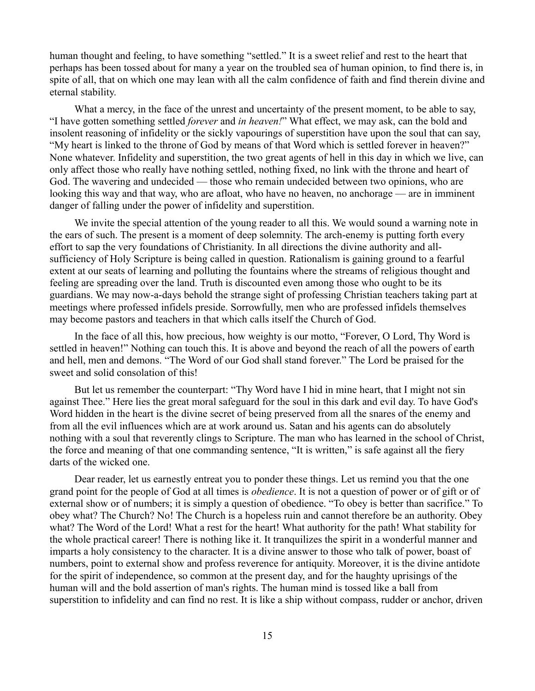human thought and feeling, to have something "settled." It is a sweet relief and rest to the heart that perhaps has been tossed about for many a year on the troubled sea of human opinion, to find there is, in spite of all, that on which one may lean with all the calm confidence of faith and find therein divine and eternal stability.

What a mercy, in the face of the unrest and uncertainty of the present moment, to be able to say, "I have gotten something settled *forever* and *in heaven!*" What effect, we may ask, can the bold and insolent reasoning of infidelity or the sickly vapourings of superstition have upon the soul that can say, "My heart is linked to the throne of God by means of that Word which is settled forever in heaven?" None whatever. Infidelity and superstition, the two great agents of hell in this day in which we live, can only affect those who really have nothing settled, nothing fixed, no link with the throne and heart of God. The wavering and undecided — those who remain undecided between two opinions, who are looking this way and that way, who are afloat, who have no heaven, no anchorage — are in imminent danger of falling under the power of infidelity and superstition.

We invite the special attention of the young reader to all this. We would sound a warning note in the ears of such. The present is a moment of deep solemnity. The arch-enemy is putting forth every effort to sap the very foundations of Christianity. In all directions the divine authority and allsufficiency of Holy Scripture is being called in question. Rationalism is gaining ground to a fearful extent at our seats of learning and polluting the fountains where the streams of religious thought and feeling are spreading over the land. Truth is discounted even among those who ought to be its guardians. We may now-a-days behold the strange sight of professing Christian teachers taking part at meetings where professed infidels preside. Sorrowfully, men who are professed infidels themselves may become pastors and teachers in that which calls itself the Church of God.

In the face of all this, how precious, how weighty is our motto, "Forever, O Lord, Thy Word is settled in heaven!" Nothing can touch this. It is above and beyond the reach of all the powers of earth and hell, men and demons. "The Word of our God shall stand forever." The Lord be praised for the sweet and solid consolation of this!

But let us remember the counterpart: "Thy Word have I hid in mine heart, that I might not sin against Thee." Here lies the great moral safeguard for the soul in this dark and evil day. To have God's Word hidden in the heart is the divine secret of being preserved from all the snares of the enemy and from all the evil influences which are at work around us. Satan and his agents can do absolutely nothing with a soul that reverently clings to Scripture. The man who has learned in the school of Christ, the force and meaning of that one commanding sentence, "It is written," is safe against all the fiery darts of the wicked one.

Dear reader, let us earnestly entreat you to ponder these things. Let us remind you that the one grand point for the people of God at all times is *obedience*. It is not a question of power or of gift or of external show or of numbers; it is simply a question of obedience. "To obey is better than sacrifice." To obey what? The Church? No! The Church is a hopeless ruin and cannot therefore be an authority. Obey what? The Word of the Lord! What a rest for the heart! What authority for the path! What stability for the whole practical career! There is nothing like it. It tranquilizes the spirit in a wonderful manner and imparts a holy consistency to the character. It is a divine answer to those who talk of power, boast of numbers, point to external show and profess reverence for antiquity. Moreover, it is the divine antidote for the spirit of independence, so common at the present day, and for the haughty uprisings of the human will and the bold assertion of man's rights. The human mind is tossed like a ball from superstition to infidelity and can find no rest. It is like a ship without compass, rudder or anchor, driven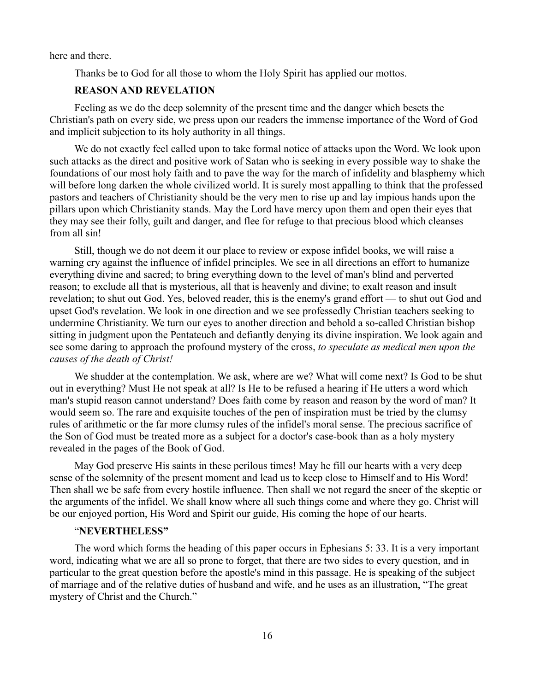here and there.

Thanks be to God for all those to whom the Holy Spirit has applied our mottos.

### **REASON AND REVELATION**

Feeling as we do the deep solemnity of the present time and the danger which besets the Christian's path on every side, we press upon our readers the immense importance of the Word of God and implicit subjection to its holy authority in all things.

We do not exactly feel called upon to take formal notice of attacks upon the Word. We look upon such attacks as the direct and positive work of Satan who is seeking in every possible way to shake the foundations of our most holy faith and to pave the way for the march of infidelity and blasphemy which will before long darken the whole civilized world. It is surely most appalling to think that the professed pastors and teachers of Christianity should be the very men to rise up and lay impious hands upon the pillars upon which Christianity stands. May the Lord have mercy upon them and open their eyes that they may see their folly, guilt and danger, and flee for refuge to that precious blood which cleanses from all sin!

Still, though we do not deem it our place to review or expose infidel books, we will raise a warning cry against the influence of infidel principles. We see in all directions an effort to humanize everything divine and sacred; to bring everything down to the level of man's blind and perverted reason; to exclude all that is mysterious, all that is heavenly and divine; to exalt reason and insult revelation; to shut out God. Yes, beloved reader, this is the enemy's grand effort — to shut out God and upset God's revelation. We look in one direction and we see professedly Christian teachers seeking to undermine Christianity. We turn our eyes to another direction and behold a so-called Christian bishop sitting in judgment upon the Pentateuch and defiantly denying its divine inspiration. We look again and see some daring to approach the profound mystery of the cross, *to speculate as medical men upon the causes of the death of Christ!*

We shudder at the contemplation. We ask, where are we? What will come next? Is God to be shut out in everything? Must He not speak at all? Is He to be refused a hearing if He utters a word which man's stupid reason cannot understand? Does faith come by reason and reason by the word of man? It would seem so. The rare and exquisite touches of the pen of inspiration must be tried by the clumsy rules of arithmetic or the far more clumsy rules of the infidel's moral sense. The precious sacrifice of the Son of God must be treated more as a subject for a doctor's case-book than as a holy mystery revealed in the pages of the Book of God.

May God preserve His saints in these perilous times! May he fill our hearts with a very deep sense of the solemnity of the present moment and lead us to keep close to Himself and to His Word! Then shall we be safe from every hostile influence. Then shall we not regard the sneer of the skeptic or the arguments of the infidel. We shall know where all such things come and where they go. Christ will be our enjoyed portion, His Word and Spirit our guide, His coming the hope of our hearts.

### "**NEVERTHELESS"**

The word which forms the heading of this paper occurs in Ephesians 5: 33. It is a very important word, indicating what we are all so prone to forget, that there are two sides to every question, and in particular to the great question before the apostle's mind in this passage. He is speaking of the subject of marriage and of the relative duties of husband and wife, and he uses as an illustration, "The great mystery of Christ and the Church."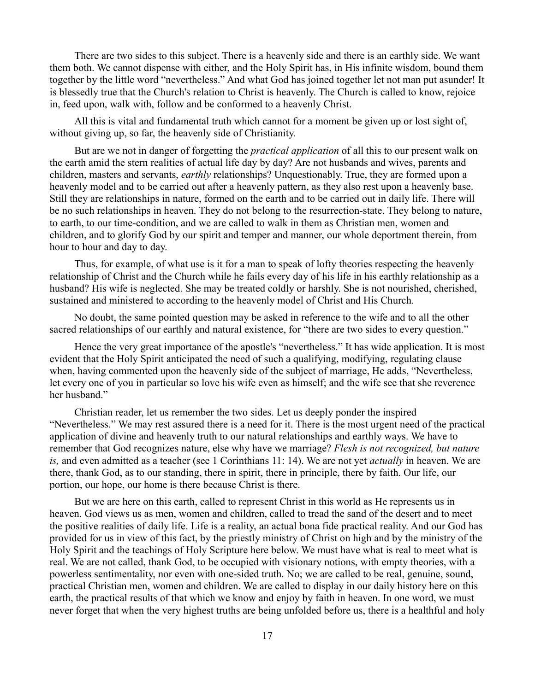There are two sides to this subject. There is a heavenly side and there is an earthly side. We want them both. We cannot dispense with either, and the Holy Spirit has, in His infinite wisdom, bound them together by the little word "nevertheless." And what God has joined together let not man put asunder! It is blessedly true that the Church's relation to Christ is heavenly. The Church is called to know, rejoice in, feed upon, walk with, follow and be conformed to a heavenly Christ.

All this is vital and fundamental truth which cannot for a moment be given up or lost sight of, without giving up, so far, the heavenly side of Christianity.

But are we not in danger of forgetting the *practical application* of all this to our present walk on the earth amid the stern realities of actual life day by day? Are not husbands and wives, parents and children, masters and servants, *earthly* relationships? Unquestionably. True, they are formed upon a heavenly model and to be carried out after a heavenly pattern, as they also rest upon a heavenly base. Still they are relationships in nature, formed on the earth and to be carried out in daily life. There will be no such relationships in heaven. They do not belong to the resurrection-state. They belong to nature, to earth, to our time-condition, and we are called to walk in them as Christian men, women and children, and to glorify God by our spirit and temper and manner, our whole deportment therein, from hour to hour and day to day.

Thus, for example, of what use is it for a man to speak of lofty theories respecting the heavenly relationship of Christ and the Church while he fails every day of his life in his earthly relationship as a husband? His wife is neglected. She may be treated coldly or harshly. She is not nourished, cherished, sustained and ministered to according to the heavenly model of Christ and His Church.

No doubt, the same pointed question may be asked in reference to the wife and to all the other sacred relationships of our earthly and natural existence, for "there are two sides to every question."

Hence the very great importance of the apostle's "nevertheless." It has wide application. It is most evident that the Holy Spirit anticipated the need of such a qualifying, modifying, regulating clause when, having commented upon the heavenly side of the subject of marriage, He adds, "Nevertheless, let every one of you in particular so love his wife even as himself; and the wife see that she reverence her husband."

Christian reader, let us remember the two sides. Let us deeply ponder the inspired "Nevertheless." We may rest assured there is a need for it. There is the most urgent need of the practical application of divine and heavenly truth to our natural relationships and earthly ways. We have to remember that God recognizes nature, else why have we marriage? *Flesh is not recognized, but nature is,* and even admitted as a teacher (see 1 Corinthians 11: 14). We are not yet *actually* in heaven. We are there, thank God, as to our standing, there in spirit, there in principle, there by faith. Our life, our portion, our hope, our home is there because Christ is there.

But we are here on this earth, called to represent Christ in this world as He represents us in heaven. God views us as men, women and children, called to tread the sand of the desert and to meet the positive realities of daily life. Life is a reality, an actual bona fide practical reality. And our God has provided for us in view of this fact, by the priestly ministry of Christ on high and by the ministry of the Holy Spirit and the teachings of Holy Scripture here below. We must have what is real to meet what is real. We are not called, thank God, to be occupied with visionary notions, with empty theories, with a powerless sentimentality, nor even with one-sided truth. No; we are called to be real, genuine, sound, practical Christian men, women and children. We are called to display in our daily history here on this earth, the practical results of that which we know and enjoy by faith in heaven. In one word, we must never forget that when the very highest truths are being unfolded before us, there is a healthful and holy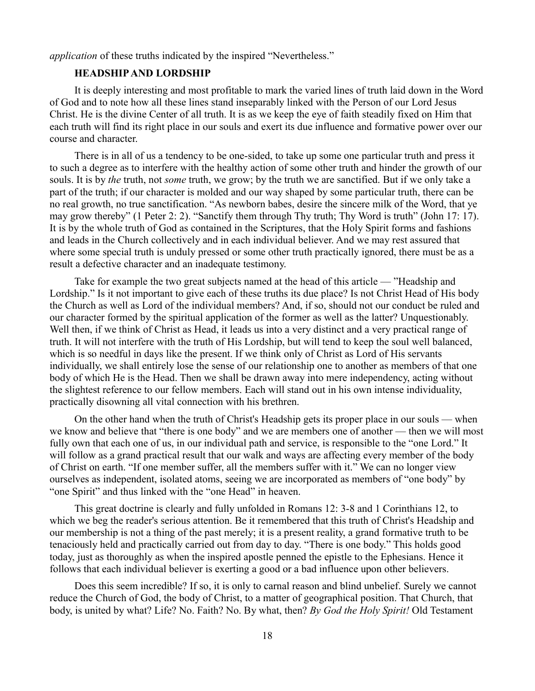*application* of these truths indicated by the inspired "Nevertheless."

# **HEADSHIP AND LORDSHIP**

It is deeply interesting and most profitable to mark the varied lines of truth laid down in the Word of God and to note how all these lines stand inseparably linked with the Person of our Lord Jesus Christ. He is the divine Center of all truth. It is as we keep the eye of faith steadily fixed on Him that each truth will find its right place in our souls and exert its due influence and formative power over our course and character.

There is in all of us a tendency to be one-sided, to take up some one particular truth and press it to such a degree as to interfere with the healthy action of some other truth and hinder the growth of our souls. It is by *the* truth, not *some* truth, we grow; by the truth we are sanctified. But if we only take a part of the truth; if our character is molded and our way shaped by some particular truth, there can be no real growth, no true sanctification. "As newborn babes, desire the sincere milk of the Word, that ye may grow thereby" (1 Peter 2: 2). "Sanctify them through Thy truth; Thy Word is truth" (John 17: 17). It is by the whole truth of God as contained in the Scriptures, that the Holy Spirit forms and fashions and leads in the Church collectively and in each individual believer. And we may rest assured that where some special truth is unduly pressed or some other truth practically ignored, there must be as a result a defective character and an inadequate testimony.

Take for example the two great subjects named at the head of this article — "Headship and Lordship." Is it not important to give each of these truths its due place? Is not Christ Head of His body the Church as well as Lord of the individual members? And, if so, should not our conduct be ruled and our character formed by the spiritual application of the former as well as the latter? Unquestionably. Well then, if we think of Christ as Head, it leads us into a very distinct and a very practical range of truth. It will not interfere with the truth of His Lordship, but will tend to keep the soul well balanced, which is so needful in days like the present. If we think only of Christ as Lord of His servants individually, we shall entirely lose the sense of our relationship one to another as members of that one body of which He is the Head. Then we shall be drawn away into mere independency, acting without the slightest reference to our fellow members. Each will stand out in his own intense individuality, practically disowning all vital connection with his brethren.

On the other hand when the truth of Christ's Headship gets its proper place in our souls — when we know and believe that "there is one body" and we are members one of another — then we will most fully own that each one of us, in our individual path and service, is responsible to the "one Lord." It will follow as a grand practical result that our walk and ways are affecting every member of the body of Christ on earth. "If one member suffer, all the members suffer with it." We can no longer view ourselves as independent, isolated atoms, seeing we are incorporated as members of "one body" by "one Spirit" and thus linked with the "one Head" in heaven.

This great doctrine is clearly and fully unfolded in Romans 12: 3-8 and 1 Corinthians 12, to which we beg the reader's serious attention. Be it remembered that this truth of Christ's Headship and our membership is not a thing of the past merely; it is a present reality, a grand formative truth to be tenaciously held and practically carried out from day to day. "There is one body." This holds good today, just as thoroughly as when the inspired apostle penned the epistle to the Ephesians. Hence it follows that each individual believer is exerting a good or a bad influence upon other believers.

Does this seem incredible? If so, it is only to carnal reason and blind unbelief. Surely we cannot reduce the Church of God, the body of Christ, to a matter of geographical position. That Church, that body, is united by what? Life? No. Faith? No. By what, then? *By God the Holy Spirit!* Old Testament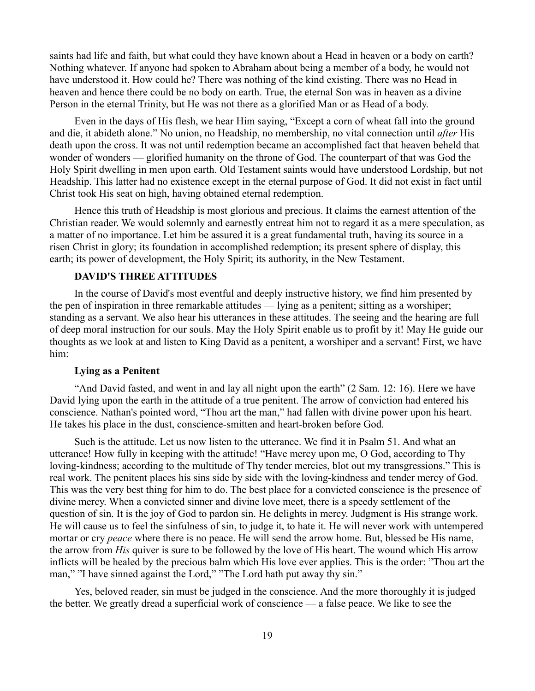saints had life and faith, but what could they have known about a Head in heaven or a body on earth? Nothing whatever. If anyone had spoken to Abraham about being a member of a body, he would not have understood it. How could he? There was nothing of the kind existing. There was no Head in heaven and hence there could be no body on earth. True, the eternal Son was in heaven as a divine Person in the eternal Trinity, but He was not there as a glorified Man or as Head of a body.

Even in the days of His flesh, we hear Him saying, "Except a corn of wheat fall into the ground and die, it abideth alone." No union, no Headship, no membership, no vital connection until *after* His death upon the cross. It was not until redemption became an accomplished fact that heaven beheld that wonder of wonders — glorified humanity on the throne of God. The counterpart of that was God the Holy Spirit dwelling in men upon earth. Old Testament saints would have understood Lordship, but not Headship. This latter had no existence except in the eternal purpose of God. It did not exist in fact until Christ took His seat on high, having obtained eternal redemption.

Hence this truth of Headship is most glorious and precious. It claims the earnest attention of the Christian reader. We would solemnly and earnestly entreat him not to regard it as a mere speculation, as a matter of no importance. Let him be assured it is a great fundamental truth, having its source in a risen Christ in glory; its foundation in accomplished redemption; its present sphere of display, this earth; its power of development, the Holy Spirit; its authority, in the New Testament.

# **DAVID'S THREE ATTITUDES**

In the course of David's most eventful and deeply instructive history, we find him presented by the pen of inspiration in three remarkable attitudes — lying as a penitent; sitting as a worshiper; standing as a servant. We also hear his utterances in these attitudes. The seeing and the hearing are full of deep moral instruction for our souls. May the Holy Spirit enable us to profit by it! May He guide our thoughts as we look at and listen to King David as a penitent, a worshiper and a servant! First, we have him:

### **Lying as a Penitent**

"And David fasted, and went in and lay all night upon the earth" (2 Sam. 12: 16). Here we have David lying upon the earth in the attitude of a true penitent. The arrow of conviction had entered his conscience. Nathan's pointed word, "Thou art the man," had fallen with divine power upon his heart. He takes his place in the dust, conscience-smitten and heart-broken before God.

Such is the attitude. Let us now listen to the utterance. We find it in Psalm 51. And what an utterance! How fully in keeping with the attitude! "Have mercy upon me, O God, according to Thy loving-kindness; according to the multitude of Thy tender mercies, blot out my transgressions." This is real work. The penitent places his sins side by side with the loving-kindness and tender mercy of God. This was the very best thing for him to do. The best place for a convicted conscience is the presence of divine mercy. When a convicted sinner and divine love meet, there is a speedy settlement of the question of sin. It is the joy of God to pardon sin. He delights in mercy. Judgment is His strange work. He will cause us to feel the sinfulness of sin, to judge it, to hate it. He will never work with untempered mortar or cry *peace* where there is no peace. He will send the arrow home. But, blessed be His name, the arrow from *His* quiver is sure to be followed by the love of His heart. The wound which His arrow inflicts will be healed by the precious balm which His love ever applies. This is the order: "Thou art the man," "I have sinned against the Lord," "The Lord hath put away thy sin."

Yes, beloved reader, sin must be judged in the conscience. And the more thoroughly it is judged the better. We greatly dread a superficial work of conscience — a false peace. We like to see the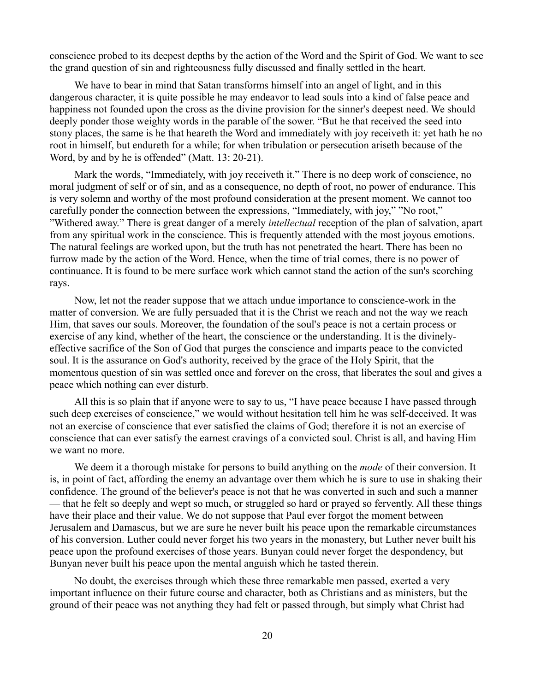conscience probed to its deepest depths by the action of the Word and the Spirit of God. We want to see the grand question of sin and righteousness fully discussed and finally settled in the heart.

We have to bear in mind that Satan transforms himself into an angel of light, and in this dangerous character, it is quite possible he may endeavor to lead souls into a kind of false peace and happiness not founded upon the cross as the divine provision for the sinner's deepest need. We should deeply ponder those weighty words in the parable of the sower. "But he that received the seed into stony places, the same is he that heareth the Word and immediately with joy receiveth it: yet hath he no root in himself, but endureth for a while; for when tribulation or persecution ariseth because of the Word, by and by he is offended" (Matt. 13: 20-21).

Mark the words, "Immediately, with joy receiveth it." There is no deep work of conscience, no moral judgment of self or of sin, and as a consequence, no depth of root, no power of endurance. This is very solemn and worthy of the most profound consideration at the present moment. We cannot too carefully ponder the connection between the expressions, "Immediately, with joy," "No root," "Withered away." There is great danger of a merely *intellectual* reception of the plan of salvation, apart from any spiritual work in the conscience. This is frequently attended with the most joyous emotions. The natural feelings are worked upon, but the truth has not penetrated the heart. There has been no furrow made by the action of the Word. Hence, when the time of trial comes, there is no power of continuance. It is found to be mere surface work which cannot stand the action of the sun's scorching rays.

Now, let not the reader suppose that we attach undue importance to conscience-work in the matter of conversion. We are fully persuaded that it is the Christ we reach and not the way we reach Him, that saves our souls. Moreover, the foundation of the soul's peace is not a certain process or exercise of any kind, whether of the heart, the conscience or the understanding. It is the divinelyeffective sacrifice of the Son of God that purges the conscience and imparts peace to the convicted soul. It is the assurance on God's authority, received by the grace of the Holy Spirit, that the momentous question of sin was settled once and forever on the cross, that liberates the soul and gives a peace which nothing can ever disturb.

All this is so plain that if anyone were to say to us, "I have peace because I have passed through such deep exercises of conscience," we would without hesitation tell him he was self-deceived. It was not an exercise of conscience that ever satisfied the claims of God; therefore it is not an exercise of conscience that can ever satisfy the earnest cravings of a convicted soul. Christ is all, and having Him we want no more.

We deem it a thorough mistake for persons to build anything on the *mode* of their conversion. It is, in point of fact, affording the enemy an advantage over them which he is sure to use in shaking their confidence. The ground of the believer's peace is not that he was converted in such and such a manner — that he felt so deeply and wept so much, or struggled so hard or prayed so fervently. All these things have their place and their value. We do not suppose that Paul ever forgot the moment between Jerusalem and Damascus, but we are sure he never built his peace upon the remarkable circumstances of his conversion. Luther could never forget his two years in the monastery, but Luther never built his peace upon the profound exercises of those years. Bunyan could never forget the despondency, but Bunyan never built his peace upon the mental anguish which he tasted therein.

No doubt, the exercises through which these three remarkable men passed, exerted a very important influence on their future course and character, both as Christians and as ministers, but the ground of their peace was not anything they had felt or passed through, but simply what Christ had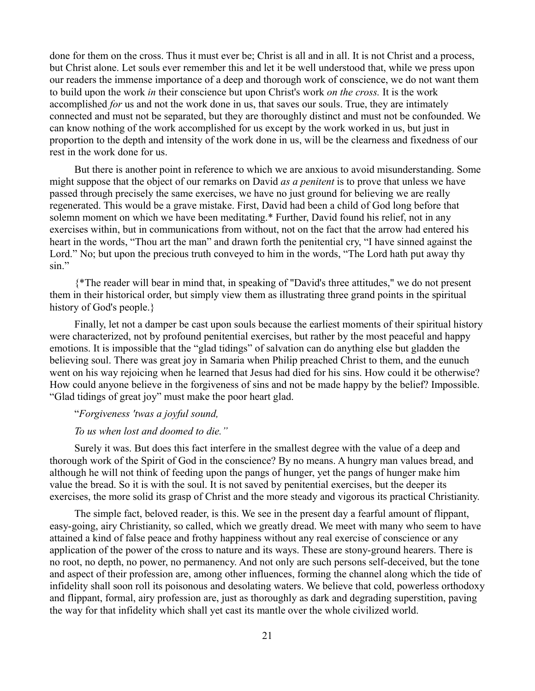done for them on the cross. Thus it must ever be; Christ is all and in all. It is not Christ and a process, but Christ alone. Let souls ever remember this and let it be well understood that, while we press upon our readers the immense importance of a deep and thorough work of conscience, we do not want them to build upon the work *in* their conscience but upon Christ's work *on the cross.* It is the work accomplished *for* us and not the work done in us, that saves our souls. True, they are intimately connected and must not be separated, but they are thoroughly distinct and must not be confounded. We can know nothing of the work accomplished for us except by the work worked in us, but just in proportion to the depth and intensity of the work done in us, will be the clearness and fixedness of our rest in the work done for us.

But there is another point in reference to which we are anxious to avoid misunderstanding. Some might suppose that the object of our remarks on David *as a penitent* is to prove that unless we have passed through precisely the same exercises, we have no just ground for believing we are really regenerated. This would be a grave mistake. First, David had been a child of God long before that solemn moment on which we have been meditating.\* Further, David found his relief, not in any exercises within, but in communications from without, not on the fact that the arrow had entered his heart in the words, "Thou art the man" and drawn forth the penitential cry, "I have sinned against the Lord." No; but upon the precious truth conveyed to him in the words, "The Lord hath put away thy sin"

{\*The reader will bear in mind that, in speaking of "David's three attitudes," we do not present them in their historical order, but simply view them as illustrating three grand points in the spiritual history of God's people.}

Finally, let not a damper be cast upon souls because the earliest moments of their spiritual history were characterized, not by profound penitential exercises, but rather by the most peaceful and happy emotions. It is impossible that the "glad tidings" of salvation can do anything else but gladden the believing soul. There was great joy in Samaria when Philip preached Christ to them, and the eunuch went on his way rejoicing when he learned that Jesus had died for his sins. How could it be otherwise? How could anyone believe in the forgiveness of sins and not be made happy by the belief? Impossible. "Glad tidings of great joy" must make the poor heart glad.

# "*Forgiveness 'twas a joyful sound,*

#### *To us when lost and doomed to die."*

Surely it was. But does this fact interfere in the smallest degree with the value of a deep and thorough work of the Spirit of God in the conscience? By no means. A hungry man values bread, and although he will not think of feeding upon the pangs of hunger, yet the pangs of hunger make him value the bread. So it is with the soul. It is not saved by penitential exercises, but the deeper its exercises, the more solid its grasp of Christ and the more steady and vigorous its practical Christianity.

The simple fact, beloved reader, is this. We see in the present day a fearful amount of flippant, easy-going, airy Christianity, so called, which we greatly dread. We meet with many who seem to have attained a kind of false peace and frothy happiness without any real exercise of conscience or any application of the power of the cross to nature and its ways. These are stony-ground hearers. There is no root, no depth, no power, no permanency. And not only are such persons self-deceived, but the tone and aspect of their profession are, among other influences, forming the channel along which the tide of infidelity shall soon roll its poisonous and desolating waters. We believe that cold, powerless orthodoxy and flippant, formal, airy profession are, just as thoroughly as dark and degrading superstition, paving the way for that infidelity which shall yet cast its mantle over the whole civilized world.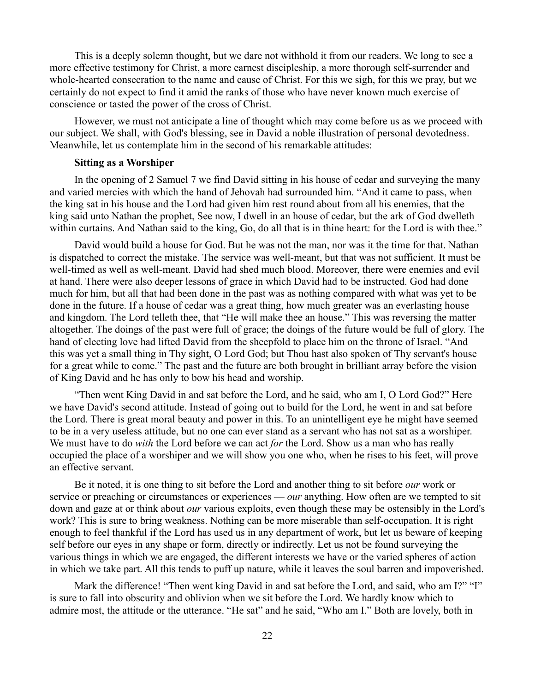This is a deeply solemn thought, but we dare not withhold it from our readers. We long to see a more effective testimony for Christ, a more earnest discipleship, a more thorough self-surrender and whole-hearted consecration to the name and cause of Christ. For this we sigh, for this we pray, but we certainly do not expect to find it amid the ranks of those who have never known much exercise of conscience or tasted the power of the cross of Christ.

However, we must not anticipate a line of thought which may come before us as we proceed with our subject. We shall, with God's blessing, see in David a noble illustration of personal devotedness. Meanwhile, let us contemplate him in the second of his remarkable attitudes:

#### **Sitting as a Worshiper**

In the opening of 2 Samuel 7 we find David sitting in his house of cedar and surveying the many and varied mercies with which the hand of Jehovah had surrounded him. "And it came to pass, when the king sat in his house and the Lord had given him rest round about from all his enemies, that the king said unto Nathan the prophet, See now, I dwell in an house of cedar, but the ark of God dwelleth within curtains. And Nathan said to the king, Go, do all that is in thine heart: for the Lord is with thee."

David would build a house for God. But he was not the man, nor was it the time for that. Nathan is dispatched to correct the mistake. The service was well-meant, but that was not sufficient. It must be well-timed as well as well-meant. David had shed much blood. Moreover, there were enemies and evil at hand. There were also deeper lessons of grace in which David had to be instructed. God had done much for him, but all that had been done in the past was as nothing compared with what was yet to be done in the future. If a house of cedar was a great thing, how much greater was an everlasting house and kingdom. The Lord telleth thee, that "He will make thee an house." This was reversing the matter altogether. The doings of the past were full of grace; the doings of the future would be full of glory. The hand of electing love had lifted David from the sheepfold to place him on the throne of Israel. "And this was yet a small thing in Thy sight, O Lord God; but Thou hast also spoken of Thy servant's house for a great while to come." The past and the future are both brought in brilliant array before the vision of King David and he has only to bow his head and worship.

"Then went King David in and sat before the Lord, and he said, who am I, O Lord God?" Here we have David's second attitude. Instead of going out to build for the Lord, he went in and sat before the Lord. There is great moral beauty and power in this. To an unintelligent eye he might have seemed to be in a very useless attitude, but no one can ever stand as a servant who has not sat as a worshiper. We must have to do *with* the Lord before we can act *for* the Lord. Show us a man who has really occupied the place of a worshiper and we will show you one who, when he rises to his feet, will prove an effective servant.

Be it noted, it is one thing to sit before the Lord and another thing to sit before *our* work or service or preaching or circumstances or experiences — *our* anything. How often are we tempted to sit down and gaze at or think about *our* various exploits, even though these may be ostensibly in the Lord's work? This is sure to bring weakness. Nothing can be more miserable than self-occupation. It is right enough to feel thankful if the Lord has used us in any department of work, but let us beware of keeping self before our eyes in any shape or form, directly or indirectly. Let us not be found surveying the various things in which we are engaged, the different interests we have or the varied spheres of action in which we take part. All this tends to puff up nature, while it leaves the soul barren and impoverished.

Mark the difference! "Then went king David in and sat before the Lord, and said, who am I?" "I" is sure to fall into obscurity and oblivion when we sit before the Lord. We hardly know which to admire most, the attitude or the utterance. "He sat" and he said, "Who am I." Both are lovely, both in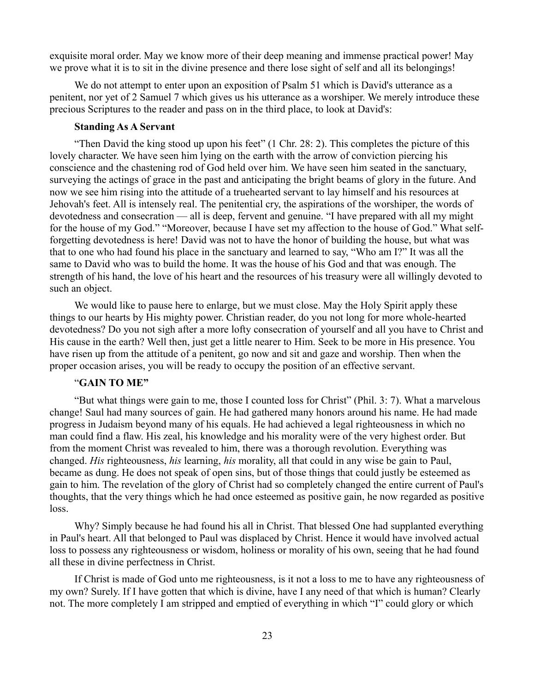exquisite moral order. May we know more of their deep meaning and immense practical power! May we prove what it is to sit in the divine presence and there lose sight of self and all its belongings!

We do not attempt to enter upon an exposition of Psalm 51 which is David's utterance as a penitent, nor yet of 2 Samuel 7 which gives us his utterance as a worshiper. We merely introduce these precious Scriptures to the reader and pass on in the third place, to look at David's:

#### **Standing As A Servant**

"Then David the king stood up upon his feet" (1 Chr. 28: 2). This completes the picture of this lovely character. We have seen him lying on the earth with the arrow of conviction piercing his conscience and the chastening rod of God held over him. We have seen him seated in the sanctuary, surveying the actings of grace in the past and anticipating the bright beams of glory in the future. And now we see him rising into the attitude of a truehearted servant to lay himself and his resources at Jehovah's feet. All is intensely real. The penitential cry, the aspirations of the worshiper, the words of devotedness and consecration — all is deep, fervent and genuine. "I have prepared with all my might for the house of my God." "Moreover, because I have set my affection to the house of God." What selfforgetting devotedness is here! David was not to have the honor of building the house, but what was that to one who had found his place in the sanctuary and learned to say, "Who am I?" It was all the same to David who was to build the home. It was the house of his God and that was enough. The strength of his hand, the love of his heart and the resources of his treasury were all willingly devoted to such an object.

We would like to pause here to enlarge, but we must close. May the Holy Spirit apply these things to our hearts by His mighty power. Christian reader, do you not long for more whole-hearted devotedness? Do you not sigh after a more lofty consecration of yourself and all you have to Christ and His cause in the earth? Well then, just get a little nearer to Him. Seek to be more in His presence. You have risen up from the attitude of a penitent, go now and sit and gaze and worship. Then when the proper occasion arises, you will be ready to occupy the position of an effective servant.

## "**GAIN TO ME"**

"But what things were gain to me, those I counted loss for Christ" (Phil. 3: 7). What a marvelous change! Saul had many sources of gain. He had gathered many honors around his name. He had made progress in Judaism beyond many of his equals. He had achieved a legal righteousness in which no man could find a flaw. His zeal, his knowledge and his morality were of the very highest order. But from the moment Christ was revealed to him, there was a thorough revolution. Everything was changed. *His* righteousness, *his* learning, *his* morality, all that could in any wise be gain to Paul, became as dung. He does not speak of open sins, but of those things that could justly be esteemed as gain to him. The revelation of the glory of Christ had so completely changed the entire current of Paul's thoughts, that the very things which he had once esteemed as positive gain, he now regarded as positive loss.

Why? Simply because he had found his all in Christ. That blessed One had supplanted everything in Paul's heart. All that belonged to Paul was displaced by Christ. Hence it would have involved actual loss to possess any righteousness or wisdom, holiness or morality of his own, seeing that he had found all these in divine perfectness in Christ.

If Christ is made of God unto me righteousness, is it not a loss to me to have any righteousness of my own? Surely. If I have gotten that which is divine, have I any need of that which is human? Clearly not. The more completely I am stripped and emptied of everything in which "I" could glory or which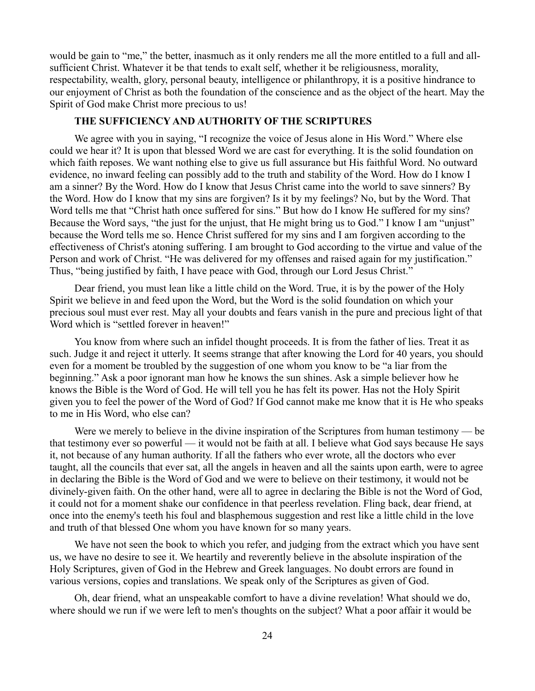would be gain to "me," the better, inasmuch as it only renders me all the more entitled to a full and allsufficient Christ. Whatever it be that tends to exalt self, whether it be religiousness, morality, respectability, wealth, glory, personal beauty, intelligence or philanthropy, it is a positive hindrance to our enjoyment of Christ as both the foundation of the conscience and as the object of the heart. May the Spirit of God make Christ more precious to us!

### **THE SUFFICIENCY AND AUTHORITY OF THE SCRIPTURES**

We agree with you in saying, "I recognize the voice of Jesus alone in His Word." Where else could we hear it? It is upon that blessed Word we are cast for everything. It is the solid foundation on which faith reposes. We want nothing else to give us full assurance but His faithful Word. No outward evidence, no inward feeling can possibly add to the truth and stability of the Word. How do I know I am a sinner? By the Word. How do I know that Jesus Christ came into the world to save sinners? By the Word. How do I know that my sins are forgiven? Is it by my feelings? No, but by the Word. That Word tells me that "Christ hath once suffered for sins." But how do I know He suffered for my sins? Because the Word says, "the just for the unjust, that He might bring us to God." I know I am "unjust" because the Word tells me so. Hence Christ suffered for my sins and I am forgiven according to the effectiveness of Christ's atoning suffering. I am brought to God according to the virtue and value of the Person and work of Christ. "He was delivered for my offenses and raised again for my justification." Thus, "being justified by faith, I have peace with God, through our Lord Jesus Christ."

Dear friend, you must lean like a little child on the Word. True, it is by the power of the Holy Spirit we believe in and feed upon the Word, but the Word is the solid foundation on which your precious soul must ever rest. May all your doubts and fears vanish in the pure and precious light of that Word which is "settled forever in heaven!"

You know from where such an infidel thought proceeds. It is from the father of lies. Treat it as such. Judge it and reject it utterly. It seems strange that after knowing the Lord for 40 years, you should even for a moment be troubled by the suggestion of one whom you know to be "a liar from the beginning." Ask a poor ignorant man how he knows the sun shines. Ask a simple believer how he knows the Bible is the Word of God. He will tell you he has felt its power. Has not the Holy Spirit given you to feel the power of the Word of God? If God cannot make me know that it is He who speaks to me in His Word, who else can?

Were we merely to believe in the divine inspiration of the Scriptures from human testimony — be that testimony ever so powerful — it would not be faith at all. I believe what God says because He says it, not because of any human authority. If all the fathers who ever wrote, all the doctors who ever taught, all the councils that ever sat, all the angels in heaven and all the saints upon earth, were to agree in declaring the Bible is the Word of God and we were to believe on their testimony, it would not be divinely-given faith. On the other hand, were all to agree in declaring the Bible is not the Word of God, it could not for a moment shake our confidence in that peerless revelation. Fling back, dear friend, at once into the enemy's teeth his foul and blasphemous suggestion and rest like a little child in the love and truth of that blessed One whom you have known for so many years.

We have not seen the book to which you refer, and judging from the extract which you have sent us, we have no desire to see it. We heartily and reverently believe in the absolute inspiration of the Holy Scriptures, given of God in the Hebrew and Greek languages. No doubt errors are found in various versions, copies and translations. We speak only of the Scriptures as given of God.

Oh, dear friend, what an unspeakable comfort to have a divine revelation! What should we do, where should we run if we were left to men's thoughts on the subject? What a poor affair it would be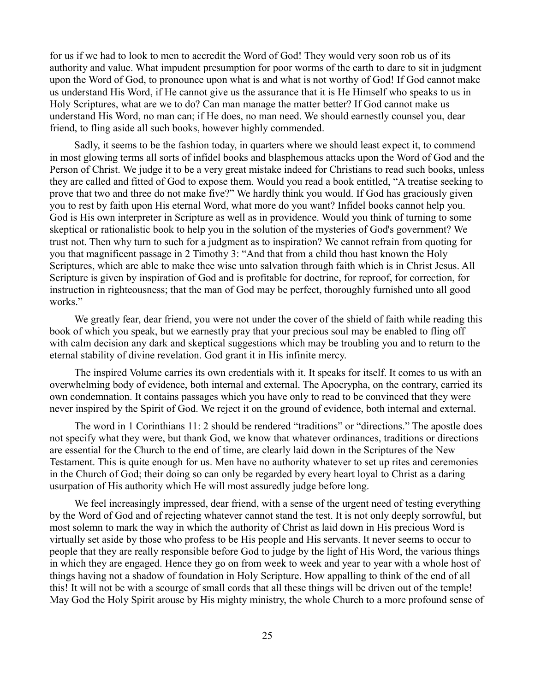for us if we had to look to men to accredit the Word of God! They would very soon rob us of its authority and value. What impudent presumption for poor worms of the earth to dare to sit in judgment upon the Word of God, to pronounce upon what is and what is not worthy of God! If God cannot make us understand His Word, if He cannot give us the assurance that it is He Himself who speaks to us in Holy Scriptures, what are we to do? Can man manage the matter better? If God cannot make us understand His Word, no man can; if He does, no man need. We should earnestly counsel you, dear friend, to fling aside all such books, however highly commended.

Sadly, it seems to be the fashion today, in quarters where we should least expect it, to commend in most glowing terms all sorts of infidel books and blasphemous attacks upon the Word of God and the Person of Christ. We judge it to be a very great mistake indeed for Christians to read such books, unless they are called and fitted of God to expose them. Would you read a book entitled, "A treatise seeking to prove that two and three do not make five?" We hardly think you would. If God has graciously given you to rest by faith upon His eternal Word, what more do you want? Infidel books cannot help you. God is His own interpreter in Scripture as well as in providence. Would you think of turning to some skeptical or rationalistic book to help you in the solution of the mysteries of God's government? We trust not. Then why turn to such for a judgment as to inspiration? We cannot refrain from quoting for you that magnificent passage in 2 Timothy 3: "And that from a child thou hast known the Holy Scriptures, which are able to make thee wise unto salvation through faith which is in Christ Jesus. All Scripture is given by inspiration of God and is profitable for doctrine, for reproof, for correction, for instruction in righteousness; that the man of God may be perfect, thoroughly furnished unto all good works."

We greatly fear, dear friend, you were not under the cover of the shield of faith while reading this book of which you speak, but we earnestly pray that your precious soul may be enabled to fling off with calm decision any dark and skeptical suggestions which may be troubling you and to return to the eternal stability of divine revelation. God grant it in His infinite mercy.

The inspired Volume carries its own credentials with it. It speaks for itself. It comes to us with an overwhelming body of evidence, both internal and external. The Apocrypha, on the contrary, carried its own condemnation. It contains passages which you have only to read to be convinced that they were never inspired by the Spirit of God. We reject it on the ground of evidence, both internal and external.

The word in 1 Corinthians 11: 2 should be rendered "traditions" or "directions." The apostle does not specify what they were, but thank God, we know that whatever ordinances, traditions or directions are essential for the Church to the end of time, are clearly laid down in the Scriptures of the New Testament. This is quite enough for us. Men have no authority whatever to set up rites and ceremonies in the Church of God; their doing so can only be regarded by every heart loyal to Christ as a daring usurpation of His authority which He will most assuredly judge before long.

We feel increasingly impressed, dear friend, with a sense of the urgent need of testing everything by the Word of God and of rejecting whatever cannot stand the test. It is not only deeply sorrowful, but most solemn to mark the way in which the authority of Christ as laid down in His precious Word is virtually set aside by those who profess to be His people and His servants. It never seems to occur to people that they are really responsible before God to judge by the light of His Word, the various things in which they are engaged. Hence they go on from week to week and year to year with a whole host of things having not a shadow of foundation in Holy Scripture. How appalling to think of the end of all this! It will not be with a scourge of small cords that all these things will be driven out of the temple! May God the Holy Spirit arouse by His mighty ministry, the whole Church to a more profound sense of